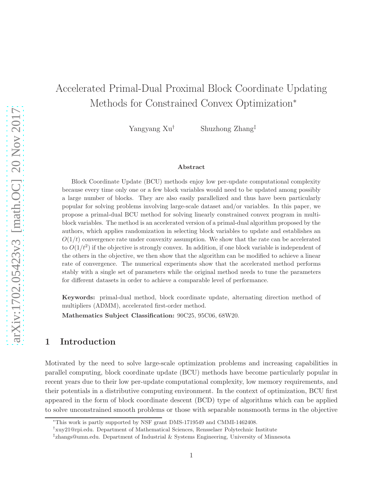# Accelerated Primal-Dual Proximal Block Coordinate Updating Methods for Constrained Convex Optimization<sup>∗</sup>

Yangyang Xu† Shuzhong Zhang‡

#### Abstract

Block Coordinate Update (BCU) methods enjoy low per-update computational complexity because every time only one or a few block variables would need to be updated among possibly a large number of blocks. They are also easily parallelized and thus have been particularly popular for solving problems involving large-scale dataset and/or variables. In this paper, we propose a primal-dual BCU method for solving linearly constrained convex program in multiblock variables. The method is an accelerated version of a primal-dual algorithm proposed by the authors, which applies randomization in selecting block variables to update and establishes an  $O(1/t)$  convergence rate under convexity assumption. We show that the rate can be accelerated to  $O(1/t^2)$  if the objective is strongly convex. In addition, if one block variable is independent of the others in the objective, we then show that the algorithm can be modified to achieve a linear rate of convergence. The numerical experiments show that the accelerated method performs stably with a single set of parameters while the original method needs to tune the parameters for different datasets in order to achieve a comparable level of performance.

Keywords: primal-dual method, block coordinate update, alternating direction method of multipliers (ADMM), accelerated first-order method.

Mathematics Subject Classification: 90C25, 95C06, 68W20.

### 1 Introduction

Motivated by the need to solve large-scale optimization problems and increasing capabilities in parallel computing, block coordinate update (BCU) methods have become particularly popular in recent years due to their low per-update computational complexity, low memory requirements, and their potentials in a distributive computing environment. In the context of optimization, BCU first appeared in the form of block coordinate descent (BCD) type of algorithms which can be applied to solve unconstrained smooth problems or those with separable nonsmooth terms in the objective

<sup>∗</sup>This work is partly supported by NSF grant DMS-1719549 and CMMI-1462408.

<sup>†</sup> xuy21@rpi.edu. Department of Mathematical Sciences, Rensselaer Polytechnic Institute

<sup>‡</sup> zhangs@umn.edu. Department of Industrial & Systems Engineering, University of Minnesota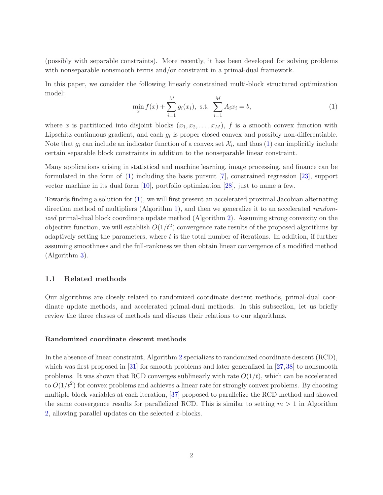<span id="page-1-1"></span>(possibly with separable constraints). More recently, it has been developed for solving problems with nonseparable nonsmooth terms and/or constraint in a primal-dual framework.

In this paper, we consider the following linearly constrained multi-block structured optimization model:

<span id="page-1-0"></span>
$$
\min_{x} f(x) + \sum_{i=1}^{M} g_i(x_i), \text{ s.t. } \sum_{i=1}^{M} A_i x_i = b,
$$
\n(1)

where x is partitioned into disjoint blocks  $(x_1, x_2, \ldots, x_M)$ , f is a smooth convex function with Lipschitz continuous gradient, and each  $g_i$  is proper closed convex and possibly non-differentiable. Note that  $g_i$  can include an indicator function of a convex set  $\mathcal{X}_i$ , and thus  $(1)$  can implicitly include certain separable block constraints in addition to the nonseparable linear constraint.

Many applications arising in statistical and machine learning, image processing, and finance can be formulated in the form of [\(1\)](#page-1-0) including the basis pursuit [\[7\]](#page-19-0), constrained regression [\[23\]](#page-20-0), support vector machine in its dual form [\[10\]](#page-19-1), portfolio optimization [\[28\]](#page-20-1), just to name a few.

Towards finding a solution for [\(1\)](#page-1-0), we will first present an accelerated proximal Jacobian alternating direction method of multipliers (Algorithm [1\)](#page-5-0), and then we generalize it to an accelerated randomized primal-dual block coordinate update method (Algorithm [2\)](#page-8-0). Assuming strong convexity on the objective function, we will establish  $O(1/t^2)$  convergence rate results of the proposed algorithms by adaptively setting the parameters, where  $t$  is the total number of iterations. In addition, if further assuming smoothness and the full-rankness we then obtain linear convergence of a modified method (Algorithm [3\)](#page-12-0).

### 1.1 Related methods

Our algorithms are closely related to randomized coordinate descent methods, primal-dual coordinate update methods, and accelerated primal-dual methods. In this subsection, let us briefly review the three classes of methods and discuss their relations to our algorithms.

#### Randomized coordinate descent methods

In the absence of linear constraint, Algorithm [2](#page-8-0) specializes to randomized coordinate descent (RCD), which was first proposed in [\[31\]](#page-20-2) for smooth problems and later generalized in [\[27,](#page-20-3)[38\]](#page-21-0) to nonsmooth problems. It was shown that RCD converges sublinearly with rate  $O(1/t)$ , which can be accelerated to  $O(1/t^2)$  for convex problems and achieves a linear rate for strongly convex problems. By choosing multiple block variables at each iteration, [\[37\]](#page-21-1) proposed to parallelize the RCD method and showed the same convergence results for parallelized RCD. This is similar to setting  $m > 1$  in Algorithm [2,](#page-8-0) allowing parallel updates on the selected  $x$ -blocks.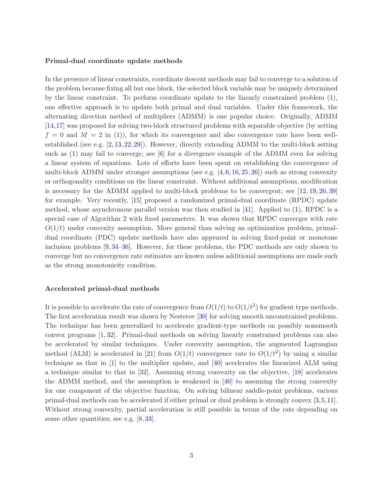#### <span id="page-2-0"></span>Primal-dual coordinate update methods

In the presence of linear constraints, coordinate descent methods may fail to converge to a solution of the problem because fixing all but one block, the selected block variable may be uniquely determined by the linear constraint. To perform coordinate update to the linearly constrained problem [\(1\)](#page-1-0), one effective approach is to update both primal and dual variables. Under this framework, the alternating direction method of multipliers (ADMM) is one popular choice. Originally, ADMM [\[14,](#page-19-2)[17\]](#page-19-3) was proposed for solving two-block structured problems with separable objective (by setting  $f = 0$  and  $M = 2$  in [\(1\)](#page-1-0)), for which its convergence and also convergence rate have been wellestablished (see e.g. [\[2,](#page-18-0) [13,](#page-19-4) [22,](#page-20-4) [29\]](#page-20-5)). However, directly extending ADMM to the multi-block setting such as  $(1)$  may fail to converge; see [\[6\]](#page-19-5) for a divergence example of the ADMM even for solving a linear system of equations. Lots of efforts have been spent on establishing the convergence of multi-block ADMM under stronger assumptions (see e.g.  $[4, 6, 16, 25, 26]$  $[4, 6, 16, 25, 26]$  $[4, 6, 16, 25, 26]$  $[4, 6, 16, 25, 26]$  $[4, 6, 16, 25, 26]$  $[4, 6, 16, 25, 26]$  $[4, 6, 16, 25, 26]$  $[4, 6, 16, 25, 26]$ ) such as strong convexity or orthogonality conditions on the linear constraint. Without additional assumptions, modification is necessary for the ADMM applied to multi-block problems to be convergent; see [\[12,](#page-19-7) [19,](#page-19-8) [20,](#page-20-8) [39\]](#page-21-2) for example. Very recently, [\[15\]](#page-19-9) proposed a randomized primal-dual coordinate (RPDC) update method, whose asynchronous parallel version was then studied in [\[41\]](#page-21-3). Applied to [\(1\)](#page-1-0), RPDC is a special case of Algorithm [2](#page-8-0) with fixed parameters. It was shown that RPDC converges with rate  $O(1/t)$  under convexity assumption. More general than solving an optimization problem, primaldual coordinate (PDC) update methods have also appeared in solving fixed-point or monotone inclusion problems [\[9,](#page-19-10) [34](#page-20-9)[–36\]](#page-21-4). However, for these problems, the PDC methods are only shown to converge but no convergence rate estimates are known unless additional assumptions are made such as the strong monotonicity condition.

### Accelerated primal-dual methods

It is possible to accelerate the rate of convergence from  $O(1/t)$  to  $O(1/t^2)$  for gradient type methods. The first acceleration result was shown by Nesterov [\[30\]](#page-20-10) for solving smooth unconstrained problems. The technique has been generalized to accelerate gradient-type methods on possibly nonsmooth convex programs [\[1,](#page-18-2) [32\]](#page-20-11). Primal-dual methods on solving linearly constrained problems can also be accelerated by similar techniques. Under convexity assumption, the augmented Lagrangian method (ALM) is accelerated in [\[21\]](#page-20-12) from  $O(1/t)$  convergence rate to  $O(1/t^2)$  by using a similar technique as that in  $[1]$  to the multiplier update, and  $[40]$  accelerates the linearized ALM using a technique similar to that in [\[32\]](#page-20-11). Assuming strong convexity on the objective, [\[18\]](#page-19-11) accelerates the ADMM method, and the assumption is weakened in [\[40\]](#page-21-5) to assuming the strong convexity for one component of the objective function. On solving bilinear saddle-point problems, various primal-dual methods can be accelerated if either primal or dual problem is strongly convex [\[3,](#page-18-3)[5,](#page-18-4)[11\]](#page-19-12). Without strong convexity, partial acceleration is still possible in terms of the rate depending on some other quantities; see e.g. [\[8,](#page-19-13) [33\]](#page-20-13).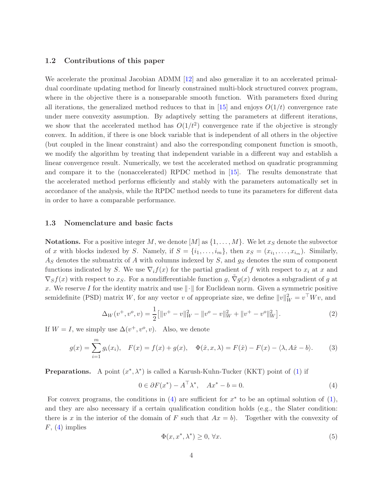### <span id="page-3-1"></span>1.2 Contributions of this paper

We accelerate the proximal Jacobian ADMM [\[12\]](#page-19-7) and also generalize it to an accelerated primaldual coordinate updating method for linearly constrained multi-block structured convex program, where in the objective there is a nonseparable smooth function. With parameters fixed during all iterations, the generalized method reduces to that in [\[15\]](#page-19-9) and enjoys  $O(1/t)$  convergence rate under mere convexity assumption. By adaptively setting the parameters at different iterations, we show that the accelerated method has  $O(1/t^2)$  convergence rate if the objective is strongly convex. In addition, if there is one block variable that is independent of all others in the objective (but coupled in the linear constraint) and also the corresponding component function is smooth, we modify the algorithm by treating that independent variable in a different way and establish a linear convergence result. Numerically, we test the accelerated method on quadratic programming and compare it to the (nonaccelerated) RPDC method in [\[15\]](#page-19-9). The results demonstrate that the accelerated method performs efficiently and stably with the parameters automatically set in accordance of the analysis, while the RPDC method needs to tune its parameters for different data in order to have a comparable performance.

### 1.3 Nomenclature and basic facts

**Notations.** For a positive integer M, we denote  $[M]$  as  $\{1, \ldots, M\}$ . We let  $x_S$  denote the subvector of x with blocks indexed by S. Namely, if  $S = \{i_1, \ldots, i_m\}$ , then  $x_S = (x_{i_1}, \ldots, x_{i_m})$ . Similarly,  $A<sub>S</sub>$  denotes the submatrix of A with columns indexed by S, and  $g<sub>S</sub>$  denotes the sum of component functions indicated by S. We use  $\nabla_i f(x)$  for the partial gradient of f with respect to  $x_i$  at x and  $\nabla_S f(x)$  with respect to  $x_S$ . For a nondifferentiable function g,  $\nabla_g(x)$  denotes a subgradient of g at x. We reserve I for the identity matrix and use  $\|\cdot\|$  for Euclidean norm. Given a symmetric positive semidefinite (PSD) matrix W, for any vector v of appropriate size, we define  $||v||_W^2 = v^{\top} W v$ , and

<span id="page-3-4"></span>
$$
\Delta_W(v^+, v^o, v) = \frac{1}{2} \left[ \|v^+ - v\|_W^2 - \|v^o - v\|_W^2 + \|v^+ - v^o\|_W^2 \right]. \tag{2}
$$

If  $W = I$ , we simply use  $\Delta(v^+, v^o, v)$ . Also, we denote

<span id="page-3-2"></span>
$$
g(x) = \sum_{i=1}^{m} g_i(x_i), \quad F(x) = f(x) + g(x), \quad \Phi(\hat{x}, x, \lambda) = F(\hat{x}) - F(x) - \langle \lambda, A\hat{x} - b \rangle.
$$
 (3)

**Preparations.** A point  $(x^*, \lambda^*)$  is called a Karush-Kuhn-Tucker (KKT) point of [\(1\)](#page-1-0) if

<span id="page-3-0"></span>
$$
0 \in \partial F(x^*) - A^\top \lambda^*, \quad Ax^* - b = 0. \tag{4}
$$

For convex programs, the conditions in  $(4)$  are sufficient for  $x^*$  to be an optimal solution of  $(1)$ , and they are also necessary if a certain qualification condition holds (e.g., the Slater condition: there is x in the interior of the domain of F such that  $Ax = b$ . Together with the convexity of  $F, (4)$  $F, (4)$  implies

<span id="page-3-3"></span>
$$
\Phi(x, x^*, \lambda^*) \ge 0, \forall x. \tag{5}
$$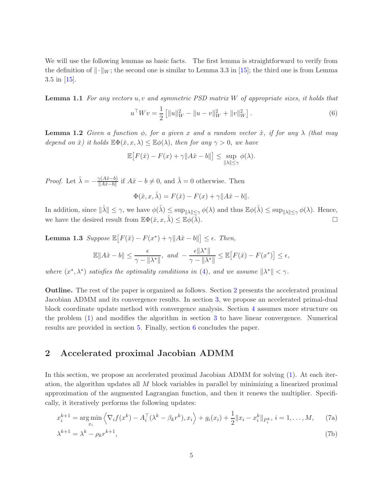<span id="page-4-3"></span>We will use the following lemmas as basic facts. The first lemma is straightforward to verify from the definition of  $\|\cdot\|_{W}$ ; the second one is similar to Lemma 3.3 in [\[15\]](#page-19-9); the third one is from Lemma 3.5 in [\[15\]](#page-19-9).

**Lemma 1.1** For any vectors u, v and symmetric PSD matrix W of appropriate sizes, it holds that

<span id="page-4-4"></span>
$$
u^{\top}Wv = \frac{1}{2} \left[ ||u||_W^2 - ||u - v||_W^2 + ||v||_W^2 \right].
$$
 (6)

<span id="page-4-5"></span>**Lemma 1.2** Given a function  $\phi$ , for a given x and a random vector  $\hat{x}$ , if for any  $\lambda$  (that may depend on  $\hat{x}$ ) it holds  $\mathbb{E}\Phi(\hat{x}, x, \lambda) \leq \mathbb{E}\phi(\lambda)$ , then for any  $\gamma > 0$ , we have

$$
\mathbb{E}\big[F(\hat{x}) - F(x) + \gamma \|A\hat{x} - b\|\big] \le \sup_{\|\lambda\| \le \gamma} \phi(\lambda).
$$

*Proof.* Let  $\hat{\lambda} = -\frac{\gamma(A\hat{x}-b)}{\|A\hat{x}-b\|}$  $\frac{\gamma(A\hat{x}-b)}{\|A\hat{x}-b\|}$  if  $A\hat{x}-b \neq 0$ , and  $\hat{\lambda}=0$  otherwise. Then

$$
\Phi(\hat{x}, x, \hat{\lambda}) = F(\hat{x}) - F(x) + \gamma ||A\hat{x} - b||.
$$

In addition, since  $\|\hat{\lambda}\| \leq \gamma$ , we have  $\phi(\hat{\lambda}) \leq \sup_{\|\lambda\| \leq \gamma} \phi(\lambda)$  and thus  $\mathbb{E}\phi(\hat{\lambda}) \leq \sup_{\|\lambda\| \leq \gamma} \phi(\lambda)$ . Hence, we have the desired result from  $\mathbb{E}\Phi(\hat{x}, x, \hat{\lambda}) \leq \mathbb{E}\phi(\hat{\lambda})$ .

<span id="page-4-6"></span>**Lemma 1.3** Suppose  $\mathbb{E}[F(\hat{x}) - F(x^*) + \gamma ||A\hat{x} - b||] \leq \epsilon$ . Then,

$$
\mathbb{E}\|A\hat{x} - b\| \le \frac{\epsilon}{\gamma - \| \lambda^* \|}, \text{ and } -\frac{\epsilon \| \lambda^* \|}{\gamma - \| \lambda^* \|} \le \mathbb{E}\big[F(\hat{x}) - F(x^*)\big] \le \epsilon,
$$

where  $(x^*, \lambda^*)$  satisfies the optimality conditions in [\(4\)](#page-3-0), and we assume  $\|\lambda^*\| < \gamma$ .

Outline. The rest of the paper is organized as follows. Section [2](#page-4-0) presents the accelerated proximal Jacobian ADMM and its convergence results. In section [3,](#page-7-0) we propose an accelerated primal-dual block coordinate update method with convergence analysis. Section [4](#page-10-0) assumes more structure on the problem [\(1\)](#page-1-0) and modifies the algorithm in section [3](#page-7-0) to have linear convergence. Numerical results are provided in section [5.](#page-15-0) Finally, section [6](#page-18-5) concludes the paper.

### <span id="page-4-0"></span>2 Accelerated proximal Jacobian ADMM

In this section, we propose an accelerated proximal Jacobian ADMM for solving [\(1\)](#page-1-0). At each iteration, the algorithm updates all M block variables in parallel by minimizing a linearized proximal approximation of the augmented Lagrangian function, and then it renews the multiplier. Specifically, it iteratively performs the following updates:

$$
x_i^{k+1} = \underset{x_i}{\text{arg min}} \left\langle \nabla_i f(x^k) - A_i^{\top} (\lambda^k - \beta_k r^k), x_i \right\rangle + g_i(x_i) + \frac{1}{2} ||x_i - x_i^k||_{P_i^k}, i = 1, ..., M, \quad (7a)
$$

<span id="page-4-2"></span><span id="page-4-1"></span>
$$
\lambda^{k+1} = \lambda^k - \rho_k r^{k+1},\tag{7b}
$$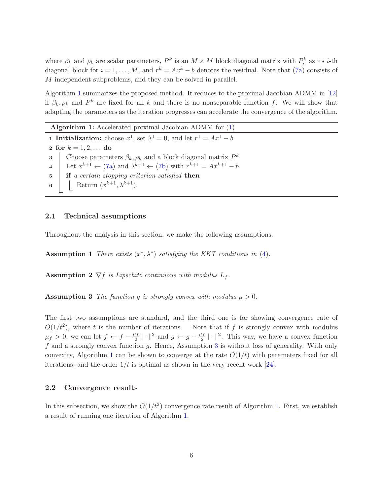<span id="page-5-4"></span>where  $\beta_k$  and  $\rho_k$  are scalar parameters,  $P^k$  is an  $M \times M$  block diagonal matrix with  $P_i^k$  as its *i*-th diagonal block for  $i = 1, ..., M$ , and  $r^k = Ax^k - b$  denotes the residual. Note that [\(7a\)](#page-4-1) consists of M independent subproblems, and they can be solved in parallel.

Algorithm [1](#page-5-0) summarizes the proposed method. It reduces to the proximal Jacobian ADMM in [\[12\]](#page-19-7) if  $\beta_k, \rho_k$  and  $P^k$  are fixed for all k and there is no nonseparable function f. We will show that adapting the parameters as the iteration progresses can accelerate the convergence of the algorithm.

<span id="page-5-0"></span>Algorithm 1: Accelerated proximal Jacobian ADMM for [\(1\)](#page-1-0) **1** Initialization: choose  $x^1$ , set  $\lambda^1 = 0$ , and let  $r^1 = Ax^1 - b$ 2 for  $k = 1, 2, ...$  do 3 Choose parameters  $\beta_k, \rho_k$  and a block diagonal matrix  $P^k$ 4 Let  $x^{k+1} \leftarrow (7a)$  $x^{k+1} \leftarrow (7a)$  and  $\lambda^{k+1} \leftarrow (7b)$  $\lambda^{k+1} \leftarrow (7b)$  with  $r^{k+1} = Ax^{k+1} - b$ . 5 if a certain stopping criterion satisfied then 6 Return  $(x^{k+1}, \lambda^{k+1})$ .

### 2.1 Technical assumptions

<span id="page-5-3"></span>Throughout the analysis in this section, we make the following assumptions.

<span id="page-5-2"></span>Assumption 1 There exists  $(x^*, \lambda^*)$  satisfying the KKT conditions in [\(4\)](#page-3-0).

<span id="page-5-1"></span>**Assumption 2**  $\nabla f$  is Lipschitz continuous with modulus  $L_f$ .

**Assumption 3** The function q is strongly convex with modulus  $\mu > 0$ .

The first two assumptions are standard, and the third one is for showing convergence rate of  $O(1/t^2)$ , where t is the number of iterations. Note that if f is strongly convex with modulus  $\mu_f > 0$ , we can let  $f \leftarrow f - \frac{\mu_f}{2}$  $\frac{\mu_f}{2} \|\cdot\|^2$  and  $g \leftarrow g + \frac{\mu_f}{2}$  $\frac{\ell_f}{2} \|\cdot\|^2$ . This way, we have a convex function  $f$  and a strongly convex function  $g$ . Hence, Assumption  $3$  is without loss of generality. With only convexity, Algorithm [1](#page-5-0) can be shown to converge at the rate  $O(1/t)$  with parameters fixed for all iterations, and the order  $1/t$  is optimal as shown in the very recent work [\[24\]](#page-20-14).

### 2.2 Convergence results

<span id="page-5-5"></span>In this subsection, we show the  $O(1/t^2)$  convergence rate result of Algorithm [1.](#page-5-0) First, we establish a result of running one iteration of Algorithm [1.](#page-5-0)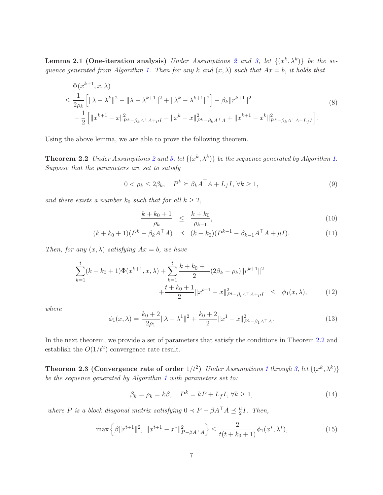**Lemma [2](#page-5-2).1 (One-iteration analysis)** Under Assumptions 2 and [3,](#page-5-1) let  $\{(x^k, \lambda^k)\}\$  be the se-quence generated from Algorithm [1.](#page-5-0) Then for any k and  $(x, \lambda)$  such that  $Ax = b$ , it holds that

<span id="page-6-2"></span>
$$
\Phi(x^{k+1}, x, \lambda) \le \frac{1}{2\rho_k} \left[ \|\lambda - \lambda^k\|^2 - \|\lambda - \lambda^{k+1}\|^2 + \|\lambda^k - \lambda^{k+1}\|^2 \right] - \beta_k \|r^{k+1}\|^2
$$
\n
$$
- \frac{1}{2} \left[ \|x^{k+1} - x\|_{P^k - \beta_k A^\top A + \mu I}^2 - \|x^k - x\|_{P^k - \beta_k A^\top A}^2 + \|x^{k+1} - x^k\|_{P^k - \beta_k A^\top A - L_f I}^2 \right].
$$
\n(8)

Using the above lemma, we are able to prove the following theorem.

**Theorem [2](#page-5-2).2** Under Assumptions 2 and [3,](#page-5-1) let  $\{(x^k, \lambda^k)\}\)$  be the sequence generated by Algorithm [1.](#page-5-0) Suppose that the parameters are set to satisfy

<span id="page-6-6"></span>
$$
0 < \rho_k \le 2\beta_k, \quad P^k \succeq \beta_k A^\top A + L_f I, \,\forall k \ge 1,\tag{9}
$$

and there exists a number  $k_0$  such that for all  $k \geq 2$ ,

<span id="page-6-3"></span><span id="page-6-0"></span>
$$
\frac{k + k_0 + 1}{\rho_k} \le \frac{k + k_0}{\rho_{k-1}},\tag{10}
$$

$$
(k + k_0 + 1)(P^k - \beta_k A^\top A) \preceq (k + k_0)(P^{k-1} - \beta_{k-1} A^\top A + \mu I). \tag{11}
$$

Then, for any  $(x, \lambda)$  satisfying  $Ax = b$ , we have

<span id="page-6-4"></span>
$$
\sum_{k=1}^{t} (k + k_0 + 1) \Phi(x^{k+1}, x, \lambda) + \sum_{k=1}^{t} \frac{k + k_0 + 1}{2} (2\beta_k - \rho_k) \|r^{k+1}\|^2
$$
  
+ 
$$
\frac{t + k_0 + 1}{2} \|x^{t+1} - x\|_{P^t - \beta_t A^\top A + \mu I}^2 \leq \phi_1(x, \lambda), \qquad (12)
$$

where

<span id="page-6-1"></span>
$$
\phi_1(x,\lambda) = \frac{k_0 + 2}{2\rho_1} \|\lambda - \lambda^1\|^2 + \frac{k_0 + 2}{2} \|x^1 - x\|_{P^1 - \beta_1 A^\top A}^2.
$$
\n(13)

In the next theorem, we provide a set of parameters that satisfy the conditions in Theorem [2.2](#page-6-0) and establish the  $O(1/t^2)$  convergence rate result.

**Theorem 2.3 (Convergence rate of order**  $1/t^2$  $1/t^2$ ) Under Assumptions 1 through [3,](#page-5-1) let  $\{(x^k, \lambda^k)\}$ be the sequence generated by Algorithm [1](#page-5-0) with parameters set to:

<span id="page-6-7"></span><span id="page-6-5"></span>
$$
\beta_k = \rho_k = k\beta, \quad P^k = kP + L_f I, \forall k \ge 1,
$$
\n(14)

where P is a block diagonal matrix satisfying  $0 \lt P - \beta A^\top A \preceq \frac{\mu}{2}$  $\frac{\mu}{2}I$ . Then,

<span id="page-6-8"></span>
$$
\max\left\{\beta\|r^{t+1}\|^2, \ \|x^{t+1} - x^*\|^2_{P-\beta A^\top A}\right\} \le \frac{2}{t(t+k_0+1)}\phi_1(x^*, \lambda^*),\tag{15}
$$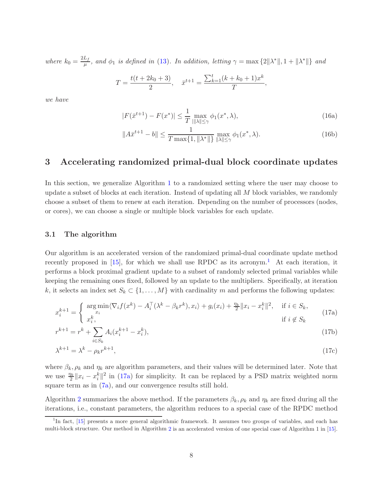<span id="page-7-4"></span>where  $k_0 = \frac{2L_f}{\mu}$  $\frac{L_f}{\mu}$ , and  $\phi_1$  is defined in [\(13\)](#page-6-1). In addition, letting  $\gamma = \max\{2\|\lambda^*\|, 1 + \|\lambda^*\|\}$  and

$$
T = \frac{t(t + 2k_0 + 3)}{2}, \quad \bar{x}^{t+1} = \frac{\sum_{k=1}^{t} (k + k_0 + 1)x^k}{T},
$$

<span id="page-7-5"></span>we have

$$
|F(\bar{x}^{t+1}) - F(x^*)| \le \frac{1}{T} \max_{||\lambda|| \le \gamma} \phi_1(x^*, \lambda),
$$
\n(16a)

$$
||A\bar{x}^{t+1} - b|| \le \frac{1}{T \max\{1, ||\lambda^*||\}} \max_{||\lambda|| \le \gamma} \phi_1(x^*, \lambda). \tag{16b}
$$

# <span id="page-7-0"></span>3 Accelerating randomized primal-dual block coordinate updates

In this section, we generalize Algorithm [1](#page-5-0) to a randomized setting where the user may choose to update a subset of blocks at each iteration. Instead of updating all M block variables, we randomly choose a subset of them to renew at each iteration. Depending on the number of processors (nodes, or cores), we can choose a single or multiple block variables for each update.

#### 3.1 The algorithm

Our algorithm is an accelerated version of the randomized primal-dual coordinate update method recently proposed in  $[15]$  $[15]$  $[15]$ , for which we shall use RPDC as its acronym.<sup>1</sup> At each iteration, it performs a block proximal gradient update to a subset of randomly selected primal variables while keeping the remaining ones fixed, followed by an update to the multipliers. Specifically, at iteration k, it selects an index set  $S_k \subset \{1, ..., M\}$  with cardinality m and performs the following updates:

<span id="page-7-2"></span>
$$
x_i^{k+1} = \begin{cases} \underset{x_i}{\text{arg min}} \langle \nabla_i f(x^k) - A_i^{\top} (\lambda^k - \beta_k r^k), x_i \rangle + g_i(x_i) + \frac{\eta_k}{2} ||x_i - x_i^k||^2, & \text{if } i \in S_k, \\ x_i^k, & \text{if } i \notin S_k \end{cases}
$$
(17a)

$$
r^{k+1} = r^k + \sum_{i \in S_k} A_i (x_i^{k+1} - x_i^k), \tag{17b}
$$

<span id="page-7-3"></span>
$$
\lambda^{k+1} = \lambda^k - \rho_k r^{k+1},\tag{17c}
$$

where  $\beta_k$ ,  $\rho_k$  and  $\eta_k$  are algorithm parameters, and their values will be determined later. Note that we use  $\frac{\eta_k}{2} ||x_i - x_i^k||^2$  in [\(17a\)](#page-7-2) for simplicity. It can be replaced by a PSD matrix weighted norm square term as in  $(7a)$ , and our convergence results still hold.

Algorithm [2](#page-8-0) summarizes the above method. If the parameters  $\beta_k$ ,  $\rho_k$  and  $\eta_k$  are fixed during all the iterations, i.e., constant parameters, the algorithm reduces to a special case of the RPDC method

<span id="page-7-1"></span><sup>&</sup>lt;sup>1</sup>In fact, [\[15\]](#page-19-9) presents a more general algorithmic framework. It assumes two groups of variables, and each has multi-block structure. Our method in Algorithm [2](#page-8-0) is an accelerated version of one special case of Algorithm 1 in [\[15\]](#page-19-9).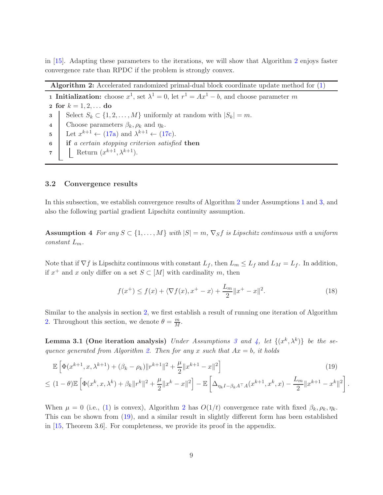<span id="page-8-5"></span>in [\[15\]](#page-19-9). Adapting these parameters to the iterations, we will show that Algorithm [2](#page-8-0) enjoys faster convergence rate than RPDC if the problem is strongly convex.

<span id="page-8-0"></span>Algorithm 2: Accelerated randomized primal-dual block coordinate update method for [\(1\)](#page-1-0)

**1 Initialization:** choose  $x^1$ , set  $\lambda^1 = 0$ , let  $r^1 = Ax^1 - b$ , and choose parameter m

2 for  $k = 1, 2, ...$  do 3 Select  $S_k \subset \{1, 2, ..., M\}$  uniformly at random with  $|S_k| = m$ . 4 Choose parameters  $\beta_k$ ,  $\rho_k$  and  $\eta_k$ . 5 Let  $x^{k+1} \leftarrow (17a)$  $x^{k+1} \leftarrow (17a)$  and  $\lambda^{k+1} \leftarrow (17c)$  $\lambda^{k+1} \leftarrow (17c)$ . 6 if a certain stopping criterion satisfied then 7 | Return  $(x^{k+1}, \lambda^{k+1})$ .

### 3.2 Convergence results

<span id="page-8-1"></span>In this subsection, we establish convergence results of Algorithm [2](#page-8-0) under Assumptions [1](#page-5-3) and [3,](#page-5-1) and also the following partial gradient Lipschitz continuity assumption.

Assumption 4 For any  $S \subset \{1, \ldots, M\}$  with  $|S| = m$ ,  $\nabla_S f$  is Lipschitz continuous with a uniform constant  $L_m$ .

Note that if  $\nabla f$  is Lipschitz continuous with constant  $L_f$ , then  $L_m \le L_f$  and  $L_M = L_f$ . In addition, if  $x^+$  and x only differ on a set  $S \subset [M]$  with cardinality m, then

<span id="page-8-6"></span><span id="page-8-3"></span>
$$
f(x^{+}) \le f(x) + \langle \nabla f(x), x^{+} - x \rangle + \frac{L_{m}}{2} ||x^{+} - x||^{2}.
$$
 (18)

<span id="page-8-4"></span><span id="page-8-2"></span>.

Similar to the analysis in section [2,](#page-4-0) we first establish a result of running one iteration of Algorithm [2.](#page-8-0) Throughout this section, we denote  $\theta = \frac{m}{M}$ .

**Lemma [3](#page-5-1).1 (One iteration analysis)** Under Assumptions 3 and [4,](#page-8-1) let  $\{(x^k, \lambda^k)\}\$  be the se-quence generated from Algorithm [2.](#page-8-0) Then for any x such that  $Ax = b$ , it holds

$$
\mathbb{E}\left[\Phi(x^{k+1},x,\lambda^{k+1}) + (\beta_k - \rho_k)\|r^{k+1}\|^2 + \frac{\mu}{2}\|x^{k+1} - x\|^2\right]
$$
\n
$$
\leq (1-\theta)\mathbb{E}\left[\Phi(x^k,x,\lambda^k) + \beta_k\|r^k\|^2 + \frac{\mu}{2}\|x^k - x\|^2\right] - \mathbb{E}\left[\Delta_{\eta_k I - \beta_k A^\top A}(x^{k+1},x^k,x) - \frac{L_m}{2}\|x^{k+1} - x^k\|^2\right]
$$
\n(19)

When  $\mu = 0$  (i.e., [\(1\)](#page-1-0) is convex), Algorithm [2](#page-8-0) has  $O(1/t)$  convergence rate with fixed  $\beta_k, \rho_k, \eta_k$ . This can be shown from [\(19\)](#page-8-2), and a similar result in slightly different form has been established in [\[15,](#page-19-9) Theorem 3.6]. For completeness, we provide its proof in the appendix.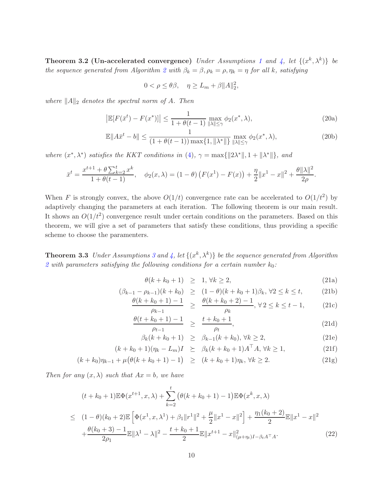**Theorem 3.2 (Un-accelerated convergence)** Under Assumptions [1](#page-5-3) and [4,](#page-8-1) let  $\{(x^k, \lambda^k)\}\$  be the sequence generated from Algorithm [2](#page-8-0) with  $\beta_k = \beta$ ,  $\rho_k = \rho$ ,  $\eta_k = \eta$  for all k, satisfying

$$
0 < \rho \le \theta \beta, \quad \eta \ge L_m + \beta \|A\|_2^2
$$

where  $||A||_2$  denotes the spectral norm of A. Then

$$
\left|\mathbb{E}[F(\bar{x}^t) - F(x^*)]\right| \le \frac{1}{1 + \theta(t - 1)} \max_{\|\lambda\| \le \gamma} \phi_2(x^*, \lambda),\tag{20a}
$$

,

$$
\mathbb{E}\|A\bar{x}^{t} - b\| \le \frac{1}{(1 + \theta(t - 1))\max\{1, \|\lambda^*\|\}} \max_{\|\lambda\| \le \gamma} \phi_2(x^*, \lambda),\tag{20b}
$$

where  $(x^*, \lambda^*)$  satisfies the KKT conditions in [\(4\)](#page-3-0),  $\gamma = \max\{||2\lambda^*||, 1 + ||\lambda^*||\}$ , and

$$
\bar{x}^{t} = \frac{x^{t+1} + \theta \sum_{k=2}^{t} x^{k}}{1 + \theta(t-1)}, \quad \phi_2(x,\lambda) = (1-\theta) \left( F(x^{1}) - F(x) \right) + \frac{\eta}{2} \|x^{1} - x\|^{2} + \frac{\theta \|\lambda\|^{2}}{2\rho}.
$$

When F is strongly convex, the above  $O(1/t)$  convergence rate can be accelerated to  $O(1/t^2)$  by adaptively changing the parameters at each iteration. The following theorem is our main result. It shows an  $O(1/t^2)$  convergence result under certain conditions on the parameters. Based on this theorem, we will give a set of parameters that satisfy these conditions, thus providing a specific scheme to choose the paramenters.

<span id="page-9-1"></span>**Theorem [3](#page-5-1).3** Under Assumptions 3 and [4,](#page-8-1) let  $\{(x^k, \lambda^k)\}\)$  be the sequence generated from Algorithm [2](#page-8-0) with parameters satisfying the following conditions for a certain number  $k_0$ :

<span id="page-9-2"></span><span id="page-9-0"></span>
$$
\theta(k + k_0 + 1) \geq 1, \forall k \geq 2,
$$
\n(21a)

$$
(\beta_{k-1} - \rho_{k-1})(k + k_0) \ge (1 - \theta)(k + k_0 + 1)\beta_k, \forall 2 \le k \le t,
$$
 (21b)

$$
\frac{\theta(k+k_0+1)-1}{\rho_{k-1}} \ge \frac{\theta(k+k_0+2)-1}{\rho_k}, \forall 2 \le k \le t-1, \tag{21c}
$$

$$
\frac{\theta(t+k_0+1)-1}{\rho_{t-1}} \ge \frac{t+k_0+1}{\rho_t},
$$
\n(21d)

$$
\beta_k(k + k_0 + 1) \ge \beta_{k-1}(k + k_0), \forall k \ge 2,
$$
\n(21e)

$$
(k + k_0 + 1)(\eta_k - L_m)I \succeq \beta_k(k + k_0 + 1)A^\top A, \forall k \ge 1,
$$
\n(21f)

$$
(k + k_0)\eta_{k-1} + \mu(\theta(k + k_0 + 1) - 1) \ge (k + k_0 + 1)\eta_k, \forall k \ge 2.
$$
 (21g)

Then for any  $(x, \lambda)$  such that  $Ax = b$ , we have

<span id="page-9-3"></span>
$$
(t + k_0 + 1)\mathbb{E}\Phi(x^{t+1}, x, \lambda) + \sum_{k=2}^t \left(\theta(k + k_0 + 1) - 1\right)\mathbb{E}\Phi(x^k, x, \lambda)
$$
  
\n
$$
\leq (1 - \theta)(k_0 + 2)\mathbb{E}\left[\Phi(x^1, x, \lambda^1) + \beta_1 ||r^1||^2 + \frac{\mu}{2} ||x^1 - x||^2\right] + \frac{\eta_1(k_0 + 2)}{2} \mathbb{E}||x^1 - x||^2
$$
  
\n
$$
+ \frac{\theta(k_0 + 3) - 1}{2\rho_1} \mathbb{E}||\lambda^1 - \lambda||^2 - \frac{t + k_0 + 1}{2} \mathbb{E}||x^{t+1} - x||_{(\mu + \eta_t)I - \beta_t A^\top A}^2.
$$
\n(22)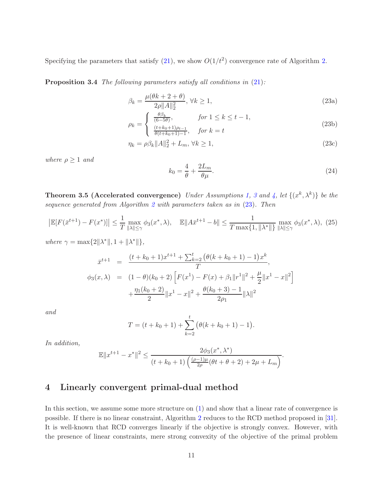<span id="page-10-3"></span><span id="page-10-2"></span>Specifying the parameters that satisfy  $(21)$ , we show  $O(1/t^2)$  convergence rate of Algorithm [2.](#page-8-0)

Proposition 3.4 The following parameters satisfy all conditions in  $(21)$ :

$$
\beta_k = \frac{\mu(\theta k + 2 + \theta)}{2\rho \|A\|_2^2}, \,\forall k \ge 1,\tag{23a}
$$

$$
\rho_k = \begin{cases} \frac{\theta \beta_k}{(6-5\theta)}, & \text{for } 1 \le k \le t-1, \\ \frac{(t+k_0+1)\rho_{t-1}}{\theta(t+k_0+1)-1}, & \text{for } k = t \end{cases}
$$
(23b)

$$
\eta_k = \rho \beta_k \|A\|_2^2 + L_m, \,\forall k \ge 1,\tag{23c}
$$

where  $\rho \geq 1$  and

<span id="page-10-7"></span><span id="page-10-6"></span><span id="page-10-5"></span><span id="page-10-4"></span><span id="page-10-1"></span>
$$
k_0 = \frac{4}{\theta} + \frac{2L_m}{\theta \mu}.\tag{24}
$$

<span id="page-10-8"></span>**Theorem [3](#page-5-1).5 (Accelerated convergence)** Under Assumptions [1,](#page-5-3) 3 and [4,](#page-8-1) let  $\{(x^k, \lambda^k)\}\$  be the sequence generated from Algorithm [2](#page-8-0) with parameters taken as in  $(23)$ . Then

<span id="page-10-9"></span>
$$
\left| \mathbb{E}[F(\bar{x}^{t+1}) - F(x^*)] \right| \le \frac{1}{T} \max_{\|\lambda\| \le \gamma} \phi_3(x^*, \lambda), \quad \mathbb{E}[|A\bar{x}^{t+1} - b|] \le \frac{1}{T \max\{1, \|\lambda^*\| \}} \max_{\|\lambda\| \le \gamma} \phi_3(x^*, \lambda), \tag{25}
$$

where  $\gamma = \max\{2\|\lambda^*\|, 1 + \|\lambda^*\|\},$ 

$$
\bar{x}^{t+1} = \frac{(t+k_0+1)x^{t+1} + \sum_{k=2}^t (\theta(k+k_0+1)-1)x^k}{T},
$$
  
\n
$$
\phi_3(x,\lambda) = (1-\theta)(k_0+2) \left[ F(x^1) - F(x) + \beta_1 ||r^1||^2 + \frac{\mu}{2} ||x^1 - x||^2 \right] + \frac{\eta_1(k_0+2)}{2} ||x^1 - x||^2 + \frac{\theta(k_0+3)-1}{2\rho_1} ||\lambda||^2
$$

and

$$
T = (t + k_0 + 1) + \sum_{k=2}^{t} (\theta(k + k_0 + 1) - 1).
$$

In addition,

$$
\mathbb{E}||x^{t+1} - x^*||^2 \le \frac{2\phi_3(x^*, \lambda^*)}{(t + k_0 + 1) \left(\frac{(\rho - 1)\mu}{2\rho}(\theta t + \theta + 2) + 2\mu + L_m\right)}.
$$

# <span id="page-10-0"></span>4 Linearly convergent primal-dual method

In this section, we assume some more structure on  $(1)$  and show that a linear rate of convergence is possible. If there is no linear constraint, Algorithm [2](#page-8-0) reduces to the RCD method proposed in [\[31\]](#page-20-2). It is well-known that RCD converges linearly if the objective is strongly convex. However, with the presence of linear constraints, mere strong convexity of the objective of the primal problem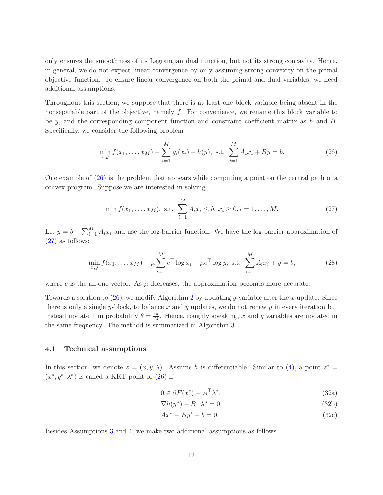only ensures the smoothness of its Lagrangian dual function, but not its strong concavity. Hence, in general, we do not expect linear convergence by only assuming strong convexity on the primal objective function. To ensure linear convergence on both the primal and dual variables, we need additional assumptions.

Throughout this section, we suppose that there is at least one block variable being absent in the nonseparable part of the objective, namely  $f$ . For convenience, we rename this block variable to be y, and the corresponding component function and constraint coefficient matrix as h and  $B$ . Specifically, we consider the following problem

<span id="page-11-0"></span>
$$
\min_{x,y} f(x_1,\ldots,x_M) + \sum_{i=1}^M g_i(x_i) + h(y), \text{ s.t. } \sum_{i=1}^M A_i x_i + B y = b.
$$
 (26)

One example of [\(26\)](#page-11-0) is the problem that appears while computing a point on the central path of a convex program. Suppose we are interested in solving

<span id="page-11-1"></span>
$$
\min_{x} f(x_1, \dots, x_M), \text{ s.t. } \sum_{i=1}^{M} A_i x_i \le b, \ x_i \ge 0, i = 1, \dots, M. \tag{27}
$$

Let  $y = b - \sum_{i=1}^{M} A_i x_i$  and use the log-barrier function. We have the log-barrier approximation of [\(27\)](#page-11-1) as follows:

$$
\min_{x,y} f(x_1,\ldots,x_M) - \mu \sum_{i=1}^M e^{\top} \log x_i - \mu e^{\top} \log y, \text{ s.t. } \sum_{i=1}^M A_i x_i + y = b,
$$
\n(28)

where  $e$  is the all-one vector. As  $\mu$  decreases, the approximation becomes more accurate.

Towards a solution to  $(26)$  $(26)$  $(26)$ , we modify Algorithm 2 by updating y-variable after the x-update. Since there is only a single y-block, to balance  $x$  and  $y$  updates, we do not renew  $y$  in every iteration but instead update it in probability  $\theta = \frac{m}{M}$ . Hence, roughly speaking, x and y variables are updated in the same frequency. The method is summarized in Algorithm [3.](#page-12-0)

### 4.1 Technical assumptions

In this section, we denote  $z = (x, y, \lambda)$ . Assume h is differentiable. Similar to [\(4\)](#page-3-0), a point  $z^* =$  $(x^*, y^*, \lambda^*)$  is called a KKT point of  $(26)$  if

<span id="page-11-3"></span><span id="page-11-2"></span>
$$
0 \in \partial F(x^*) - A^\top \lambda^*,\tag{32a}
$$

$$
\nabla h(y^*) - B^\top \lambda^* = 0,\tag{32b}
$$

$$
Ax^* + By^* - b = 0.\t(32c)
$$

Besides Assumptions [3](#page-5-1) and [4,](#page-8-1) we make two additional assumptions as follows.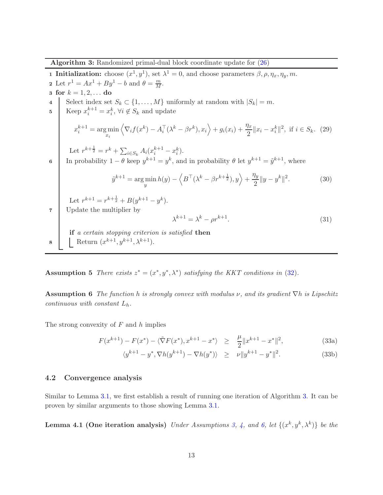<span id="page-12-0"></span>Algorithm 3: Randomized primal-dual block coordinate update for [\(26\)](#page-11-0)

**1 Initialization:** choose  $(x^1, y^1)$ , set  $\lambda^1 = 0$ , and choose parameters  $\beta$ ,  $\rho$ ,  $\eta_x$ ,  $\eta_y$ ,  $m$ . 2 Let  $r^1 = Ax^1 + By^1 - b$  and  $\theta = \frac{m}{M}$ . 3 for  $k = 1, 2, ...$  do Select index set  $S_k \subset \{1, ..., M\}$  uniformly at random with  $|S_k| = m$ . 5 Keep  $x_i^{k+1} = x_i^k$ ,  $\forall i \notin S_k$  and update  $x_i^{k+1} = \argmin_{x_i}$  $\langle \nabla_i f(x^k) - A_i^{\top} (\lambda^k - \beta r^k), x_i \rangle + g_i(x_i) + \frac{\eta_x}{2} ||x_i - x_i^k||^2$ , if  $i \in S_k$ . (29) Let  $r^{k+\frac{1}{2}} = r^k + \sum_{i \in S_k} A_i (x_i^{k+1} - x_i^k)$ . 6 In probability  $1 - \theta$  keep  $y^{k+1} = y^k$ , and in probability  $\theta$  let  $y^{k+1} = \tilde{y}^{k+1}$ , where  $\tilde{y}^{k+1} = \argmin_{y} h(y) - \langle B^{\top}(\lambda^k - \beta r^{k+\frac{1}{2}}), y \rangle + \frac{\eta_y}{2}$  $\frac{dy}{2} ||y - y^k||^2$ . (30) Let  $r^{k+1} = r^{k+\frac{1}{2}} + B(y^{k+1} - y^k)$ . 7 Update the multiplier by  $\lambda^{k+1} = \lambda^k - \rho r^{k+1}$ .  $(31)$ if a certain stopping criterion is satisfied then **8** Return  $(x^{k+1}, y^{k+1}, \lambda^{k+1})$ .

<span id="page-12-3"></span><span id="page-12-1"></span>Assumption 5 There exists  $z^* = (x^*, y^*, \lambda^*)$  satisfying the KKT conditions in [\(32\)](#page-11-2).

**Assumption 6** The function h is strongly convex with modulus  $\nu$ , and its gradient  $\nabla h$  is Lipschitz continuous with constant  $L_h$ .

The strong convexity of  $F$  and  $h$  implies

$$
F(x^{k+1}) - F(x^*) - \langle \tilde{\nabla} F(x^*), x^{k+1} - x^* \rangle \ge \frac{\mu}{2} \|x^{k+1} - x^*\|^2,
$$
 (33a)

<span id="page-12-4"></span><span id="page-12-2"></span>
$$
\langle y^{k+1} - y^*, \nabla h(y^{k+1}) - \nabla h(y^*) \rangle \geq \nu \| y^{k+1} - y^* \|^2. \tag{33b}
$$

### 4.2 Convergence analysis

Similar to Lemma [3.1,](#page-8-3) we first establish a result of running one iteration of Algorithm [3.](#page-12-0) It can be proven by similar arguments to those showing Lemma [3.1.](#page-8-3)

**Lemma 4.1 (One iteration analysis)** Under Assumptions [3,](#page-5-1) [4,](#page-8-1) and [6,](#page-12-1) let  $\{(x^k, y^k, \lambda^k)\}\$ be the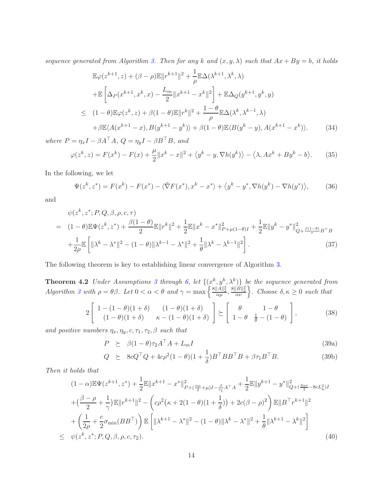sequence generated from Algorithm [3.](#page-12-0) Then for any k and  $(x, y, \lambda)$  such that  $Ax + By = b$ , it holds

<span id="page-13-4"></span>
$$
\mathbb{E}\varphi(z^{k+1},z) + (\beta - \rho)\mathbb{E}||r^{k+1}||^{2} + \frac{1}{\rho}\mathbb{E}\Delta(\lambda^{k+1},\lambda^{k},\lambda) \n+ \mathbb{E}\left[\Delta_{P}(x^{k+1},x^{k},x) - \frac{L_{m}}{2}||x^{k+1} - x^{k}||^{2}\right] + \mathbb{E}\Delta_{Q}(y^{k+1},y^{k},y) \n\leq (1-\theta)\mathbb{E}\varphi(z^{k},z) + \beta(1-\theta)\mathbb{E}||r^{k}||^{2} + \frac{1-\theta}{\rho}\mathbb{E}\Delta(\lambda^{k},\lambda^{k-1},\lambda) \n+ \beta\mathbb{E}\langle A(x^{k+1} - x),B(y^{k+1} - y^{k})\rangle + \beta(1-\theta)\mathbb{E}\langle B(y^{k} - y),A(x^{k+1} - x^{k})\rangle.
$$
\n(34)

where  $P = \eta_x I - \beta A^\top A$ ,  $Q = \eta_y I - \beta B^\top B$ , and

$$
\varphi(z^k, z) = F(x^k) - F(x) + \frac{\mu}{2} \|x^k - x\|^2 + \langle y^k - y, \nabla h(y^k) \rangle - \langle \lambda, Ax^k + By^k - b \rangle.
$$
 (35)

In the following, we let

<span id="page-13-5"></span>
$$
\Psi(z^k, z^*) = F(x^k) - F(x^*) - \langle \tilde{\nabla} F(x^*), x^k - x^* \rangle + \langle y^k - y^*, \nabla h(y^k) - \nabla h(y^*) \rangle, \tag{36}
$$

and

<span id="page-13-6"></span>
$$
\psi(z^k, z^*; P, Q, \beta, \rho, c, \tau)
$$
\n
$$
= (1 - \theta) \mathbb{E} \Psi(z^k, z^*) + \frac{\beta(1 - \theta)}{2} \mathbb{E} ||r^k||^2 + \frac{1}{2} \mathbb{E} ||x^k - x^*||^2_{P + \mu(1 - \theta)I} + \frac{1}{2} \mathbb{E} ||y^k - y^*||^2_{Q + \frac{\beta(1 - \theta)}{2}B^\top B}
$$
\n
$$
+ \frac{1}{2\rho} \mathbb{E} \left[ ||\lambda^k - \lambda^*||^2 - (1 - \theta) ||\lambda^{k-1} - \lambda^*||^2 + \frac{1}{\theta} ||\lambda^k - \lambda^{k-1}||^2 \right].
$$
\n(37)

The following theorem is key to establishing linear convergence of Algorithm [3.](#page-12-0)

**Theorem 4.2** Under Assumptions [3](#page-5-1) through [6,](#page-12-1) let  $\{(x^k, y^k, \lambda^k)\}\)$  be the sequence generated from  $Algorithm 3 with \rho = \theta \beta.$  $Algorithm 3 with \rho = \theta \beta.$  $Algorithm 3 with \rho = \theta \beta.$  Let  $0 < \alpha < \theta$  and  $\gamma = \max \left\{ \frac{8||A||_2^2}{\alpha \mu}, \frac{8||B||_2^2}{\alpha \nu} \right\}.$  Choose  $\delta, \kappa \geq 0$  such that

<span id="page-13-1"></span>
$$
2\left[\begin{array}{cc}1-(1-\theta)(1+\delta)&(1-\theta)(1+\delta)\\(1-\theta)(1+\delta)&\kappa-(1-\theta)(1+\delta)\end{array}\right]\succeq\left[\begin{array}{cc}\theta&1-\theta\\1-\theta&\frac{1}{\theta}-(1-\theta)\end{array}\right],\tag{38}
$$

and positive numbers  $\eta_x, \eta_y, c, \tau_1, \tau_2, \beta$  such that

<span id="page-13-3"></span><span id="page-13-2"></span><span id="page-13-0"></span>
$$
P \geq \beta (1 - \theta) \tau_2 A^{\top} A + L_m I \tag{39a}
$$

$$
Q \succeq 8cQ^{\top}Q + 4c\rho^2(1-\theta)(1+\frac{1}{\delta})B^{\top}BB^{\top}B + \beta\tau_1B^{\top}B. \tag{39b}
$$

Then it holds that

<span id="page-13-7"></span>
$$
(1 - \alpha) \mathbb{E} \Psi(z^{k+1}, z^*) + \frac{1}{2} \mathbb{E} \|x^{k+1} - x^*\|^2_{P + (\frac{\alpha\mu}{2} + \mu)I - \frac{\beta}{\tau_1} A^\top A} + \frac{1}{2} \mathbb{E} \|y^{k+1} - y^*\|^2_{Q + (\frac{3\alpha\nu}{2} - 8cL_h^2)I}
$$
  
+ 
$$
(\frac{\beta - \rho}{2} + \frac{1}{\gamma}) \mathbb{E} \|r^{k+1}\|^2 - \left(c\rho^2(\kappa + 2(1 - \theta)(1 + \frac{1}{\delta})) + 2c(\beta - \rho)^2\right) \mathbb{E} \|B^\top r^{k+1}\|^2
$$
  
+ 
$$
\left(\frac{1}{2\rho} + \frac{c}{2}\sigma_{\min}(BB^\top)\right) \mathbb{E} \left[ \|\lambda^{k+1} - \lambda^*\|^2 - (1 - \theta)\|\lambda^k - \lambda^*\|^2 + \frac{1}{\theta}\|\lambda^{k+1} - \lambda^k\|^2 \right]
$$
  

$$
\leq \psi(z^k, z^*; P, Q, \beta, \rho, c, \tau_2).
$$
 (40)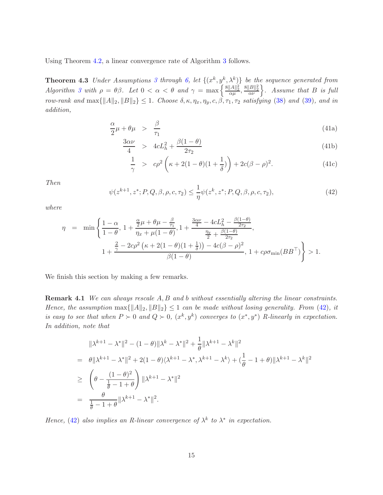Using Theorem [4.2,](#page-13-0) a linear convergence rate of Algorithm [3](#page-12-0) follows.

**Theorem 4.[3](#page-5-1)** Under Assumptions 3 through [6,](#page-12-1) let  $\{(x^k, y^k, \lambda^k)\}\)$  be the sequence generated from  $Algorithm\ 3\ with\ \rho = \theta\beta.$  $Algorithm\ 3\ with\ \rho = \theta\beta.$  $Algorithm\ 3\ with\ \rho = \theta\beta.$  Let  $0 < \alpha < \theta$  and  $\gamma = \max\left\{\frac{8||A||_2^2}{\alpha\mu}, \frac{8||B||_2^2}{\alpha\nu}\right\}.$  Assume that B is full row-rank and  $\max\{\|A\|_2, \|B\|_2\} \leq 1$ . Choose  $\delta, \kappa, \eta_x, \eta_y, c, \beta, \tau_1, \tau_2$  satisfying [\(38\)](#page-13-1) and [\(39\)](#page-13-2), and in addition,

<span id="page-14-3"></span><span id="page-14-2"></span>
$$
\frac{\alpha}{2}\mu + \theta\mu > \frac{\beta}{\tau_1} \tag{41a}
$$

<span id="page-14-1"></span>
$$
\frac{3\alpha\nu}{4} > 4cL_h^2 + \frac{\beta(1-\theta)}{2\tau_2}
$$
\n(41b)

$$
\frac{1}{\gamma} > c\rho^2 \left( \kappa + 2(1 - \theta)(1 + \frac{1}{\delta}) \right) + 2c(\beta - \rho)^2.
$$
 (41c)

Then

<span id="page-14-0"></span>
$$
\psi(z^{k+1}, z^*; P, Q, \beta, \rho, c, \tau_2) \leq \frac{1}{\eta} \psi(z^k, z^*; P, Q, \beta, \rho, c, \tau_2),\tag{42}
$$

where

$$
\eta = \min \left\{ \frac{1 - \alpha}{1 - \theta}, \ 1 + \frac{\frac{\alpha}{2}\mu + \theta\mu - \frac{\beta}{\tau_1}}{\eta_x + \mu(1 - \theta)}, 1 + \frac{\frac{3\alpha\nu}{4} - 4cL_h^2 - \frac{\beta(1 - \theta)}{2\tau_2}}{\frac{\eta_y}{2} + \frac{\beta(1 - \theta)}{2\tau_2}}, \ 1 + \frac{\frac{2}{\gamma} - 2c\rho^2\left(\kappa + 2(1 - \theta)(1 + \frac{1}{\delta})\right) - 4c(\beta - \rho)^2}{\beta(1 - \theta)}, \ 1 + c\rho\sigma_{\min}(BB^{\top}) \right\} > 1.
$$

We finish this section by making a few remarks.

**Remark 4.1** We can always rescale A, B and b without essentially altering the linear constraints. Hence, the assumption  $\max{\{\|A\|_2, \|B\|_2\}} \leq 1$  can be made without losing generality. From [\(42\)](#page-14-0), it is easy to see that when  $P \succ 0$  and  $Q \succ 0$ ,  $(x^k, y^k)$  converges to  $(x^*, y^*)$  R-linearly in expectation. In addition, note that

$$
\|\lambda^{k+1} - \lambda^*\|^2 - (1 - \theta)\|\lambda^k - \lambda^*\|^2 + \frac{1}{\theta}\|\lambda^{k+1} - \lambda^k\|^2
$$
  
=  $\theta \|\lambda^{k+1} - \lambda^*\|^2 + 2(1 - \theta)\langle \lambda^{k+1} - \lambda^*, \lambda^{k+1} - \lambda^k \rangle + (\frac{1}{\theta} - 1 + \theta)\|\lambda^{k+1} - \lambda^k\|^2$   
 $\geq \left(\theta - \frac{(1 - \theta)^2}{\frac{1}{\theta} - 1 + \theta}\right)\|\lambda^{k+1} - \lambda^*\|^2$   
=  $\frac{\theta}{\frac{1}{\theta} - 1 + \theta}\|\lambda^{k+1} - \lambda^*\|^2.$ 

Hence, [\(42\)](#page-14-0) also implies an R-linear convergence of  $\lambda^k$  to  $\lambda^*$  in expectation.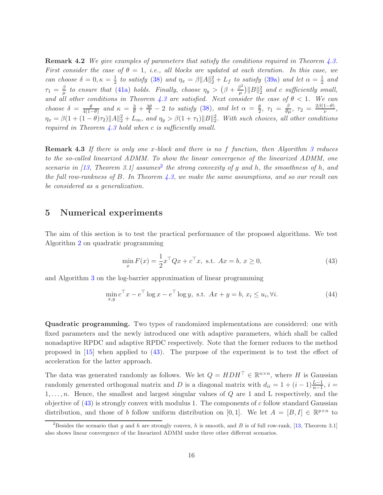<span id="page-15-4"></span>**Remark 4.2** We give examples of parameters that satisfy the conditions required in Theorem [4.3.](#page-14-1) First consider the case of  $\theta = 1$ , i.e., all blocks are updated at each iteration. In this case, we can choose  $\delta = 0, \kappa = \frac{1}{2}$  $\frac{1}{2}$  to satisfy [\(38\)](#page-13-1) and  $\eta_x = \beta ||A||_2^2 + L_f$  to satisfy [\(39a\)](#page-13-3) and let  $\alpha = \frac{1}{2}$  $rac{1}{2}$  and  $\tau_1 = \frac{\beta}{\mu}$  $\frac{\beta}{\mu}$  to ensure that [\(41a\)](#page-14-2) holds. Finally, choose  $\eta_y > (\beta + \frac{\beta^2}{\mu})$  $\frac{3^2}{\mu}$ ||B|| $\frac{2}{2}$  and c sufficiently small, and all other conditions in Theorem [4.3](#page-14-1) are satisfied. Next consider the case of  $\theta$  < 1. We can choose  $\delta = \frac{\theta}{4(1-\theta)}$  and  $\kappa = \frac{3}{\theta} + \frac{3\theta}{4} - 2$  to satisfy [\(38\)](#page-13-1), and let  $\alpha = \frac{\theta}{2}$ ,  $\tau_1 = \frac{\beta}{\theta\mu}$ ,  $\tau_2 = \frac{2\beta(1-\theta)}{\nu}$  $\frac{1-\theta}{\nu},$  $\eta_x = \beta(1 + (1 - \theta)\tau_2) ||A||_2^2 + L_m$ , and  $\eta_y > \beta(1 + \tau_1) ||B||_2^2$ . With such choices, all other conditions required in Theorem  $\angle 3$  hold when c is sufficiently small.

**Remark 4.[3](#page-12-0)** If there is only one x-block and there is no f function, then Algorithm 3 reduces to the so-called linearized ADMM. To show the linear convergence of the linearized ADMM, one scenario in [\[13,](#page-19-4) Theorem 3.1] assumes<sup>[2](#page-15-1)</sup> the strong convexity of g and h, the smoothness of h, and the full row-rankness of B. In Theorem [4.3,](#page-14-1) we make the same assumptions, and so our result can be considered as a generalization.

### <span id="page-15-0"></span>5 Numerical experiments

The aim of this section is to test the practical performance of the proposed algorithms. We test Algorithm [2](#page-8-0) on quadratic programming

<span id="page-15-2"></span>
$$
\min_{x} F(x) = \frac{1}{2} x^{\top} Q x + c^{\top} x, \text{ s.t. } Ax = b, x \ge 0,
$$
\n(43)

and Algorithm [3](#page-12-0) on the log-barrier approximation of linear programming

<span id="page-15-3"></span>
$$
\min_{x,y} c^{\top} x - e^{\top} \log x - e^{\top} \log y, \text{ s.t. } Ax + y = b, x_i \le u_i, \forall i.
$$
 (44)

Quadratic programming. Two types of randomized implementations are considered: one with fixed parameters and the newly introduced one with adaptive parameters, which shall be called nonadaptive RPDC and adaptive RPDC respectively. Note that the former reduces to the method proposed in [\[15\]](#page-19-9) when applied to [\(43\)](#page-15-2). The purpose of the experiment is to test the effect of acceleration for the latter approach.

The data was generated randomly as follows. We let  $Q = HDH^{\top} \in \mathbb{R}^{n \times n}$ , where H is Gaussian randomly generated orthogonal matrix and D is a diagonal matrix with  $d_{ii} = 1 + (i - 1)\frac{L-1}{n-1}$ ,  $i =$  $1, \ldots, n$ . Hence, the smallest and largest singular values of Q are 1 and L respectively, and the objective of  $(43)$  is strongly convex with modulus 1. The components of c follow standard Gaussian distribution, and those of b follow uniform distribution on [0,1]. We let  $A = [B, I] \in \mathbb{R}^{p \times n}$  to

<span id="page-15-1"></span><sup>&</sup>lt;sup>2</sup>Besides the scenario that q and h are strongly convex, h is smooth, and B is of full row-rank, [\[13,](#page-19-4) Theorem 3.1] also shows linear convergence of the linearized ADMM under three other different scenarios.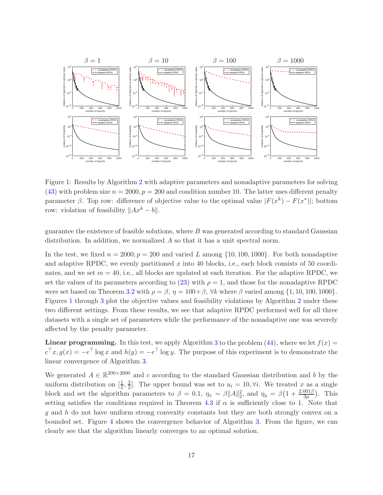

<span id="page-16-0"></span>Figure 1: Results by Algorithm [2](#page-8-0) with adaptive parameters and nonadaptive parameters for solving [\(43\)](#page-15-2) with problem size  $n = 2000$ ,  $p = 200$  and condition number 10. The latter uses different penalty parameter  $\beta$ . Top row: difference of objective value to the optimal value  $|F(x^k) - F(x^*)|$ ; bottom row: violation of feasibility  $||Ax^{k} - b||$ .

guarantee the existence of feasible solutions, where  $B$  was generated according to standard Gaussian distribution. In addition, we normalized A so that it has a unit spectral norm.

In the test, we fixed  $n = 2000$ ,  $p = 200$  and varied L among  $\{10, 100, 1000\}$ . For both nonadaptive and adaptive RPDC, we evenly partitioned  $x$  into 40 blocks, i.e., each block consists of 50 coordinates, and we set  $m = 40$ , i.e., all blocks are updated at each iteration. For the adaptive RPDC, we set the values of its parameters according to [\(23\)](#page-10-1) with  $\rho = 1$ , and those for the nonadaptive RPDC were set based on Theorem [3.2](#page-8-4) with  $\rho = \beta$ ,  $\eta = 100 + \beta$ ,  $\forall k$  where  $\beta$  varied among  $\{1, 10, 100, 1000\}$ . Figures [1](#page-16-0) through [3](#page-17-0) plot the objective values and feasibility violations by Algorithm [2](#page-8-0) under these two different settings. From these results, we see that adaptive RPDC performed well for all three datasets with a single set of parameters while the performance of the nonadaptive one was severely affected by the penalty parameter.

**Linear programming.** In this test, we apply Algorithm [3](#page-12-0) to the problem [\(44\)](#page-15-3), where we let  $f(x) =$  $c^{\top}x, g(x) = -e^{\top} \log x$  and  $h(y) = -e^{\top} \log y$ . The purpose of this experiment is to demonstrate the linear convergence of Algorithm [3.](#page-12-0)

We generated  $A \in \mathbb{R}^{200 \times 2000}$  and c according to the standard Gaussian distribution and b by the uniform distribution on  $[\frac{1}{2}, \frac{3}{2}]$ . The upper bound was set to  $u_i = 10, \forall i$ . We treated x as a single 2 2 block and set the algorithm parameters to  $\beta = 0.1$ ,  $\eta_x = \beta ||A||_2^2$ , and  $\eta_y = \beta (1 + \frac{2.001\beta}{3\mu})$ . This setting satisfies the conditions required in Theorem [4.3](#page-14-1) if  $\alpha$  is sufficiently close to 1. Note that g and h do not have uniform strong convexity constants but they are both strongly convex on a bounded set. Figure [4](#page-18-6) shows the convergence behavior of Algorithm [3.](#page-12-0) From the figure, we can clearly see that the algorithm linearly converges to an optimal solution.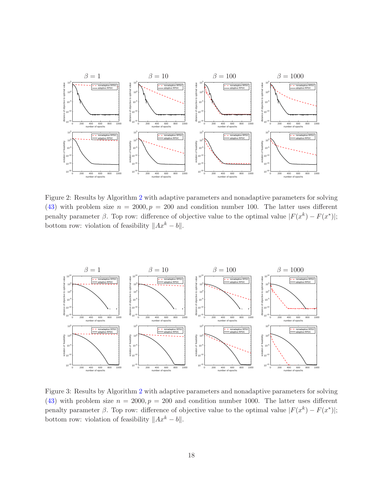

Figure 2: Results by Algorithm [2](#page-8-0) with adaptive parameters and nonadaptive parameters for solving [\(43\)](#page-15-2) with problem size  $n = 2000, p = 200$  and condition number 100. The latter uses different penalty parameter  $\beta$ . Top row: difference of objective value to the optimal value  $|F(x^k) - F(x^*)|$ ; bottom row: violation of feasibility  $||Ax^k - b||$ .



<span id="page-17-0"></span>Figure 3: Results by Algorithm [2](#page-8-0) with adaptive parameters and nonadaptive parameters for solving [\(43\)](#page-15-2) with problem size  $n = 2000, p = 200$  and condition number 1000. The latter uses different penalty parameter  $\beta$ . Top row: difference of objective value to the optimal value  $|F(x^k) - F(x^*)|$ ; bottom row: violation of feasibility  $||Ax^k - b||$ .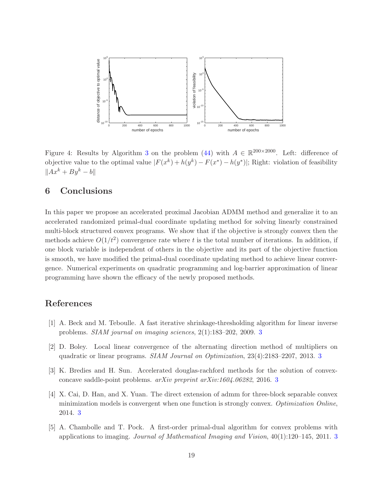

<span id="page-18-6"></span>Figure 4: Results by Algorithm [3](#page-12-0) on the problem [\(44\)](#page-15-3) with  $A \in \mathbb{R}^{200 \times 2000}$ . Left: difference of objective value to the optimal value  $|F(x^k) + h(y^k) - F(x^*) - h(y^*)|$ ; Right: violation of feasibility  $||Ax^k + By^k - b||$ 

### <span id="page-18-5"></span>6 Conclusions

In this paper we propose an accelerated proximal Jacobian ADMM method and generalize it to an accelerated randomized primal-dual coordinate updating method for solving linearly constrained multi-block structured convex programs. We show that if the objective is strongly convex then the methods achieve  $O(1/t^2)$  convergence rate where t is the total number of iterations. In addition, if one block variable is independent of others in the objective and its part of the objective function is smooth, we have modified the primal-dual coordinate updating method to achieve linear convergence. Numerical experiments on quadratic programming and log-barrier approximation of linear programming have shown the efficacy of the newly proposed methods.

# <span id="page-18-2"></span>References

- <span id="page-18-0"></span>[1] A. Beck and M. Teboulle. A fast iterative shrinkage-thresholding algorithm for linear inverse problems. SIAM journal on imaging sciences, 2(1):183–202, 2009. [3](#page-2-0)
- <span id="page-18-3"></span>[2] D. Boley. Local linear convergence of the alternating direction method of multipliers on quadratic or linear programs. SIAM Journal on Optimization, 23(4):2183–2207, 2013. [3](#page-2-0)
- <span id="page-18-1"></span>[3] K. Bredies and H. Sun. Accelerated douglas-rachford methods for the solution of convexconcave saddle-point problems. arXiv preprint arXiv:1604.06282, 2016. [3](#page-2-0)
- [4] X. Cai, D. Han, and X. Yuan. The direct extension of admm for three-block separable convex minimization models is convergent when one function is strongly convex. Optimization Online, 2014. [3](#page-2-0)
- <span id="page-18-4"></span>[5] A. Chambolle and T. Pock. A first-order primal-dual algorithm for convex problems with applications to imaging. Journal of Mathematical Imaging and Vision,  $40(1):120-145$ ,  $2011$ . [3](#page-2-0)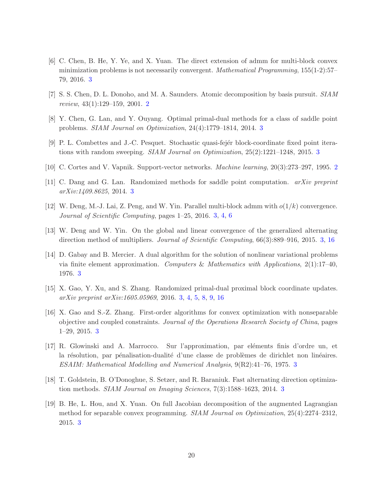- <span id="page-19-5"></span>[6] C. Chen, B. He, Y. Ye, and X. Yuan. The direct extension of admm for multi-block convex minimization problems is not necessarily convergent. Mathematical Programming, 155(1-2):57– 79, 2016. [3](#page-2-0)
- <span id="page-19-13"></span><span id="page-19-0"></span>[7] S. S. Chen, D. L. Donoho, and M. A. Saunders. Atomic decomposition by basis pursuit. SIAM review, 43(1):129–159, 2001. [2](#page-1-1)
- <span id="page-19-10"></span>[8] Y. Chen, G. Lan, and Y. Ouyang. Optimal primal-dual methods for a class of saddle point problems. SIAM Journal on Optimization, 24(4):1779–1814, 2014. [3](#page-2-0)
- <span id="page-19-1"></span>[9] P. L. Combettes and J.-C. Pesquet. Stochastic quasi-fej´er block-coordinate fixed point iterations with random sweeping. SIAM Journal on Optimization, 25(2):1221–1248, 2015. [3](#page-2-0)
- <span id="page-19-12"></span>[10] C. Cortes and V. Vapnik. Support-vector networks. Machine learning, 20(3):273–297, 1995. [2](#page-1-1)
- <span id="page-19-7"></span>[11] C. Dang and G. Lan. Randomized methods for saddle point computation. arXiv preprint arXiv:1409.8625, 2014. [3](#page-2-0)
- <span id="page-19-4"></span>[12] W. Deng, M.-J. Lai, Z. Peng, and W. Yin. Parallel multi-block admm with  $o(1/k)$  convergence. Journal of Scientific Computing, pages 1–25, 2016. [3,](#page-2-0) [4,](#page-3-1) [6](#page-5-4)
- <span id="page-19-2"></span>[13] W. Deng and W. Yin. On the global and linear convergence of the generalized alternating direction method of multipliers. *Journal of Scientific Computing*, 66(3):889–916, 2015. [3,](#page-2-0) [16](#page-15-4)
- [14] D. Gabay and B. Mercier. A dual algorithm for the solution of nonlinear variational problems via finite element approximation. Computers & Mathematics with Applications,  $2(1)$ :17-40, 1976. [3](#page-2-0)
- <span id="page-19-9"></span><span id="page-19-6"></span>[15] X. Gao, Y. Xu, and S. Zhang. Randomized primal-dual proximal block coordinate updates. arXiv preprint arXiv:1605.05969, 2016. [3,](#page-2-0) [4,](#page-3-1) [5,](#page-4-3) [8,](#page-7-4) [9,](#page-8-5) [16](#page-15-4)
- [16] X. Gao and S.-Z. Zhang. First-order algorithms for convex optimization with nonseparable objective and coupled constraints. Journal of the Operations Research Society of China, pages 1–29, 2015. [3](#page-2-0)
- <span id="page-19-3"></span>[17] R. Glowinski and A. Marrocco. Sur l'approximation, par eléments finis d'ordre un, et la résolution, par pénalisation-dualité d'une classe de problèmes de dirichlet non linéaires. ESAIM: Mathematical Modelling and Numerical Analysis, 9(R2):41–76, 1975. [3](#page-2-0)
- <span id="page-19-11"></span><span id="page-19-8"></span>[18] T. Goldstein, B. O'Donoghue, S. Setzer, and R. Baraniuk. Fast alternating direction optimization methods. SIAM Journal on Imaging Sciences, 7(3):1588–1623, 2014. [3](#page-2-0)
- [19] B. He, L. Hou, and X. Yuan. On full Jacobian decomposition of the augmented Lagrangian method for separable convex programming. SIAM Journal on Optimization, 25(4):2274–2312, 2015. [3](#page-2-0)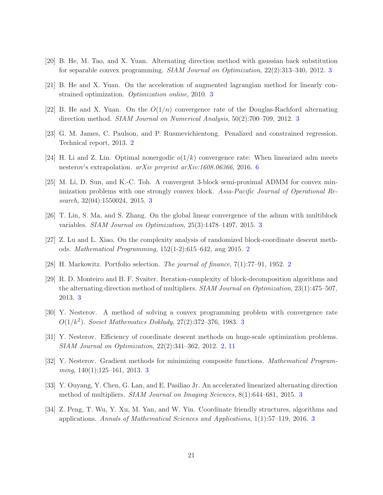- <span id="page-20-12"></span><span id="page-20-8"></span>[20] B. He, M. Tao, and X. Yuan. Alternating direction method with gaussian back substitution for separable convex programming. SIAM Journal on Optimization, 22(2):313–340, 2012. [3](#page-2-0)
- <span id="page-20-4"></span>[21] B. He and X. Yuan. On the acceleration of augmented lagrangian method for linearly constrained optimization. Optimization online, 2010. [3](#page-2-0)
- <span id="page-20-0"></span>[22] B. He and X. Yuan. On the  $O(1/n)$  convergence rate of the Douglas-Rachford alternating direction method. SIAM Journal on Numerical Analysis, 50(2):700–709, 2012. [3](#page-2-0)
- <span id="page-20-14"></span>[23] G. M. James, C. Paulson, and P. Rusmevichientong. Penalized and constrained regression. Technical report, 2013. [2](#page-1-1)
- <span id="page-20-6"></span>[24] H. Li and Z. Lin. Optimal nonergodic  $o(1/k)$  convergence rate: When linearized adm meets nesterov's extrapolation. arXiv preprint arXiv:1608.06366, 2016. [6](#page-5-4)
- [25] M. Li, D. Sun, and K.-C. Toh. A convergent 3-block semi-proximal ADMM for convex minimization problems with one strongly convex block. Asia-Pacific Journal of Operational Research, 32(04):1550024, 2015. [3](#page-2-0)
- <span id="page-20-7"></span><span id="page-20-3"></span>[26] T. Lin, S. Ma, and S. Zhang. On the global linear convergence of the admm with multiblock variables. SIAM Journal on Optimization, 25(3):1478–1497, 2015. [3](#page-2-0)
- <span id="page-20-1"></span>[27] Z. Lu and L. Xiao. On the complexity analysis of randomized block-coordinate descent methods. Mathematical Programming, 152(1-2):615–642, aug 2015. [2](#page-1-1)
- <span id="page-20-5"></span>[28] H. Markowitz. Portfolio selection. The journal of finance, 7(1):77–91, 1952. [2](#page-1-1)
- [29] R. D. Monteiro and B. F. Svaiter. Iteration-complexity of block-decomposition algorithms and the alternating direction method of multipliers. SIAM Journal on Optimization, 23(1):475–507, 2013. [3](#page-2-0)
- <span id="page-20-10"></span><span id="page-20-2"></span>[30] Y. Nesterov. A method of solving a convex programming problem with convergence rate  $O(1/k^2)$ . Soviet Mathematics Doklady, 27(2):[3](#page-2-0)72-376, 1983. 3
- <span id="page-20-11"></span>[31] Y. Nesterov. Efficiency of coordinate descent methods on huge-scale optimization problems. SIAM Journal on Optimization, 22(2):341–362, 2012. [2,](#page-1-1) [11](#page-10-2)
- <span id="page-20-13"></span>[32] Y. Nesterov. Gradient methods for minimizing composite functions. Mathematical Program-ming, 140(1):125–161, 201[3](#page-2-0). 3
- <span id="page-20-9"></span>[33] Y. Ouyang, Y. Chen, G. Lan, and E. Pasiliao Jr. An accelerated linearized alternating direction method of multipliers. SIAM Journal on Imaging Sciences, 8(1):644–681, 2015. [3](#page-2-0)
- [34] Z. Peng, T. Wu, Y. Xu, M. Yan, and W. Yin. Coordinate friendly structures, algorithms and applications. Annals of Mathematical Sciences and Applications, 1(1):57–119, 2016. [3](#page-2-0)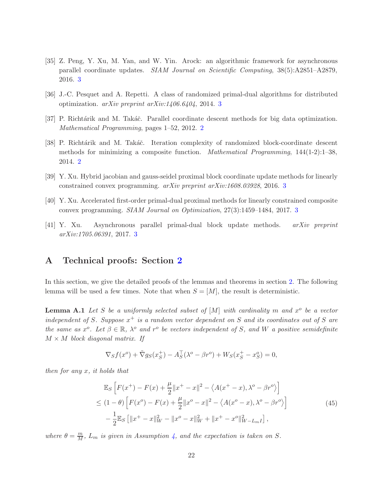- [35] Z. Peng, Y. Xu, M. Yan, and W. Yin. Arock: an algorithmic framework for asynchronous parallel coordinate updates. SIAM Journal on Scientific Computing, 38(5):A2851–A2879, 2016. [3](#page-2-0)
- <span id="page-21-4"></span><span id="page-21-1"></span>[36] J.-C. Pesquet and A. Repetti. A class of randomized primal-dual algorithms for distributed optimization. arXiv preprint arXiv:1406.6404, 2014. [3](#page-2-0)
- <span id="page-21-0"></span>[37] P. Richtárik and M. Takáč. Parallel coordinate descent methods for big data optimization. Mathematical Programming, pages 1–52, 2012. [2](#page-1-1)
- [38] P. Richtárik and M. Takáč. Iteration complexity of randomized block-coordinate descent methods for minimizing a composite function. *Mathematical Programming*,  $144(1-2)$ :1–38, 2014. [2](#page-1-1)
- <span id="page-21-5"></span><span id="page-21-2"></span>[39] Y. Xu. Hybrid jacobian and gauss-seidel proximal block coordinate update methods for linearly constrained convex programming. arXiv preprint arXiv:1608.03928, 2016. [3](#page-2-0)
- <span id="page-21-3"></span>[40] Y. Xu. Accelerated first-order primal-dual proximal methods for linearly constrained composite convex programming. SIAM Journal on Optimization, 27(3):1459–1484, 2017. [3](#page-2-0)
- [41] Y. Xu. Asynchronous parallel primal-dual block update methods. arXiv preprint arXiv:1705.06391, 2017. [3](#page-2-0)

### A Technical proofs: Section [2](#page-4-0)

In this section, we give the detailed proofs of the lemmas and theorems in section [2.](#page-4-0) The following lemma will be used a few times. Note that when  $S = [M]$ , the result is deterministic.

**Lemma A.1** Let S be a uniformly selected subset of  $[M]$  with cardinality m and  $x^{\circ}$  be a vector independent of S. Suppose  $x^+$  is a random vector dependent on S and its coordinates out of S are the same as  $x^o$ . Let  $\beta \in \mathbb{R}$ ,  $\lambda^o$  and  $r^o$  be vectors independent of S, and W a positive semidefinite  $M \times M$  block diagonal matrix. If

<span id="page-21-6"></span>
$$
\nabla_S f(x^o) + \tilde{\nabla} g_S(x_S^+) - A_S^{\top} (\lambda^o - \beta r^o) + W_S(x_S^+ - x_S^o) = 0,
$$

then for any x, it holds that

<span id="page-21-7"></span>
$$
\mathbb{E}_{S} \left[ F(x^{+}) - F(x) + \frac{\mu}{2} \|x^{+} - x\|^{2} - \langle A(x^{+} - x), \lambda^{\circ} - \beta r^{\circ} \rangle \right]
$$
\n
$$
\leq (1 - \theta) \left[ F(x^{\circ}) - F(x) + \frac{\mu}{2} \|x^{\circ} - x\|^{2} - \langle A(x^{\circ} - x), \lambda^{\circ} - \beta r^{\circ} \rangle \right]
$$
\n
$$
- \frac{1}{2} \mathbb{E}_{S} \left[ \|x^{+} - x\|_{W}^{2} - \|x^{\circ} - x\|_{W}^{2} + \|x^{+} - x^{\circ}\|_{W-L_{m}I}^{2} \right],
$$
\n(45)

where  $\theta = \frac{m}{M}$ ,  $L_m$  is given in Assumption [4,](#page-8-1) and the expectation is taken on S.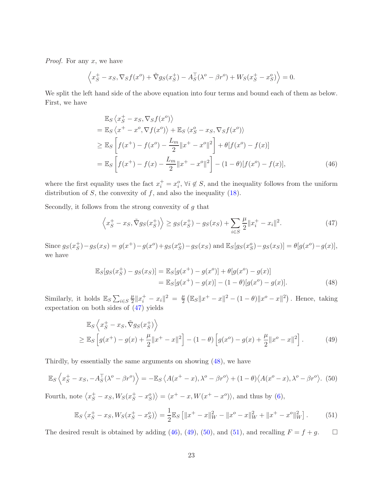*Proof.* For any  $x$ , we have

$$
\left\langle x_S^+ - x_S, \nabla_S f(x^o) + \tilde{\nabla} g_S(x_S^+) - A_S^{\top} (\lambda^o - \beta r^o) + W_S(x_S^+ - x_S^o) \right\rangle = 0.
$$

We split the left hand side of the above equation into four terms and bound each of them as below. First, we have

$$
\mathbb{E}_{S} \langle x_{S}^{+} - x_{S}, \nabla_{S} f(x^{o}) \rangle \n= \mathbb{E}_{S} \langle x^{+} - x^{o}, \nabla f(x^{o}) \rangle + \mathbb{E}_{S} \langle x_{S}^{o} - x_{S}, \nabla_{S} f(x^{o}) \rangle \n\geq \mathbb{E}_{S} \left[ f(x^{+}) - f(x^{o}) - \frac{L_{m}}{2} ||x^{+} - x^{o}||^{2} \right] + \theta[f(x^{o}) - f(x)] \n= \mathbb{E}_{S} \left[ f(x^{+}) - f(x) - \frac{L_{m}}{2} ||x^{+} - x^{o}||^{2} \right] - (1 - \theta)[f(x^{o}) - f(x)],
$$
\n(46)

where the first equality uses the fact  $x_i^+ = x_i^o$ ,  $\forall i \notin S$ , and the inequality follows from the uniform distribution of  $S$ , the convexity of  $f$ , and also the inequality [\(18\)](#page-8-6).

Secondly, it follows from the strong convexity of  $g$  that

<span id="page-22-2"></span><span id="page-22-0"></span>
$$
\left\langle x_S^+ - x_S, \tilde{\nabla}g_S(x_S^+) \right\rangle \ge g_S(x_S^+) - g_S(x_S) + \sum_{i \in S} \frac{\mu}{2} ||x_i^+ - x_i||^2. \tag{47}
$$

Since  $g_S(x_S^+) - g_S(x_S) = g(x^+) - g(x^0) + g_S(x_S^0) - g_S(x_S)$  and  $\mathbb{E}_S[g_S(x_S^0) - g_S(x_S)] = \theta[g(x^0) - g(x)]$ , we have

<span id="page-22-3"></span><span id="page-22-1"></span>
$$
\mathbb{E}_{S}[g_{S}(x_{S}^{+}) - g_{S}(x_{S})] = \mathbb{E}_{S}[g(x^{+}) - g(x^{0})] + \theta[g(x^{0}) - g(x)]
$$
  
= 
$$
\mathbb{E}_{S}[g(x^{+}) - g(x)] - (1 - \theta)[g(x^{0}) - g(x)].
$$
 (48)

Similarly, it holds  $\mathbb{E}_S \sum_{i \in S}$  $\mu$  $\frac{\mu}{2} \|x_i^+ - x_i\|^2 = \frac{\mu}{2}$  $\frac{\mu}{2} (\mathbb{E}_S ||x^+ - x||^2 - (1 - \theta) ||x^o - x||^2)$ . Hence, taking expectation on both sides of [\(47\)](#page-22-0) yields

$$
\mathbb{E}_{S} \left\langle x_{S}^{+} - x_{S}, \tilde{\nabla} g_{S}(x_{S}^{+}) \right\rangle \geq \mathbb{E}_{S} \left[ g(x^{+}) - g(x) + \frac{\mu}{2} ||x^{+} - x||^{2} \right] - (1 - \theta) \left[ g(x^{0}) - g(x) + \frac{\mu}{2} ||x^{0} - x||^{2} \right].
$$
 (49)

Thirdly, by essentially the same arguments on showing [\(48\)](#page-22-1), we have

<span id="page-22-4"></span>
$$
\mathbb{E}_S \left\langle x_S^+ - x_S, -A_S^\top (\lambda^o - \beta r^o) \right\rangle = -\mathbb{E}_S \left\langle A(x^+ - x), \lambda^o - \beta r^o \right\rangle + (1 - \theta) \left\langle A(x^o - x), \lambda^o - \beta r^o \right\rangle. \tag{50}
$$

Fourth, note  $\langle x_S^+ - x_S, W_S(x_S^+ - x_S^o) \rangle = \langle x^+ - x, W(x^+ - x^o) \rangle$ , and thus by [\(6\)](#page-4-4),

<span id="page-22-5"></span>
$$
\mathbb{E}_S \left\langle x_S^+ - x_S, W_S(x_S^+ - x_S^o) \right\rangle = \frac{1}{2} \mathbb{E}_S \left[ \|x^+ - x\|_W^2 - \|x^o - x\|_W^2 + \|x^+ - x^o\|_W^2 \right]. \tag{51}
$$

The desired result is obtained by adding [\(46\)](#page-22-2), [\(49\)](#page-22-3), [\(50\)](#page-22-4), and [\(51\)](#page-22-5), and recalling  $F = f + g$ .  $\Box$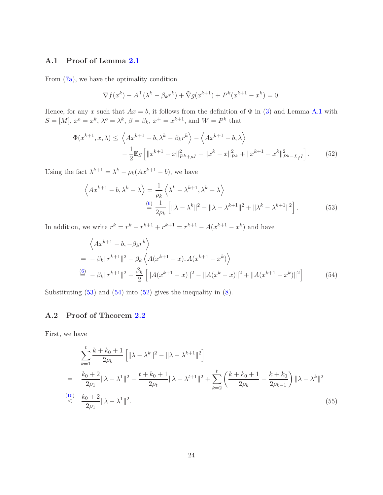### A.1 Proof of Lemma [2.1](#page-5-5)

From [\(7a\)](#page-4-1), we have the optimality condition

<span id="page-23-2"></span>
$$
\nabla f(x^k) - A^{\top}(\lambda^k - \beta_k r^k) + \tilde{\nabla} g(x^{k+1}) + P^k(x^{k+1} - x^k) = 0.
$$

Hence, for any x such that  $Ax = b$ , it follows from the definition of  $\Phi$  in [\(3\)](#page-3-2) and Lemma [A.1](#page-21-6) with  $S = [M], x^o = x^k, \lambda^o = \lambda^k, \beta = \beta_k, x^+ = x^{k+1}$ , and  $W = P^k$  that

$$
\Phi(x^{k+1}, x, \lambda) \le \left\langle Ax^{k+1} - b, \lambda^k - \beta_k r^k \right\rangle - \left\langle Ax^{k+1} - b, \lambda \right\rangle \n- \frac{1}{2} \mathbb{E}_S \left[ \|x^{k+1} - x\|_{P^k + \mu}^2 - \|x^k - x\|_{P^k}^2 + \|x^{k+1} - x^k\|_{P^k - L_f I}^2 \right].
$$
\n(52)

Using the fact  $\lambda^{k+1} = \lambda^k - \rho_k(Ax^{k+1} - b)$ , we have

<span id="page-23-0"></span>
$$
\left\langle Ax^{k+1} - b, \lambda^k - \lambda \right\rangle = \frac{1}{\rho_k} \left\langle \lambda^k - \lambda^{k+1}, \lambda^k - \lambda \right\rangle
$$
  

$$
\stackrel{\text{(6)}}{=} \frac{1}{2\rho_k} \left[ \| \lambda - \lambda^k \|^2 - \| \lambda - \lambda^{k+1} \|^2 + \| \lambda^k - \lambda^{k+1} \|^2 \right].
$$
 (53)

In addition, we write  $r^k = r^k - r^{k+1} + r^{k+1} = r^{k+1} - A(x^{k+1} - x^k)$  and have

<span id="page-23-1"></span>
$$
\left\langle Ax^{k+1} - b, -\beta_k r^k \right\rangle
$$
  
=  $-\beta_k ||r^{k+1}||^2 + \beta_k \left\langle A(x^{k+1} - x), A(x^{k+1} - x^k) \right\rangle$   

$$
\stackrel{(6)}{=} -\beta_k ||r^{k+1}||^2 + \frac{\beta_k}{2} \left[ ||A(x^{k+1} - x)||^2 - ||A(x^k - x)||^2 + ||A(x^{k+1} - x^k)||^2 \right]
$$
(54)

Substituting  $(53)$  and  $(54)$  into  $(52)$  gives the inequality in  $(8)$ .

### A.2 Proof of Theorem [2.2](#page-6-0)

First, we have

<span id="page-23-3"></span>
$$
\sum_{k=1}^{t} \frac{k+k_0+1}{2\rho_k} \left[ \|\lambda - \lambda^k\|^2 - \|\lambda - \lambda^{k+1}\|^2 \right]
$$
\n
$$
= \frac{k_0+2}{2\rho_1} \|\lambda - \lambda^1\|^2 - \frac{t+k_0+1}{2\rho_t} \|\lambda - \lambda^{t+1}\|^2 + \sum_{k=2}^{t} \left( \frac{k+k_0+1}{2\rho_k} - \frac{k+k_0}{2\rho_{k-1}} \right) \|\lambda - \lambda^k\|^2
$$
\n
$$
\leq \frac{k_0+2}{2\rho_1} \|\lambda - \lambda^1\|^2. \tag{55}
$$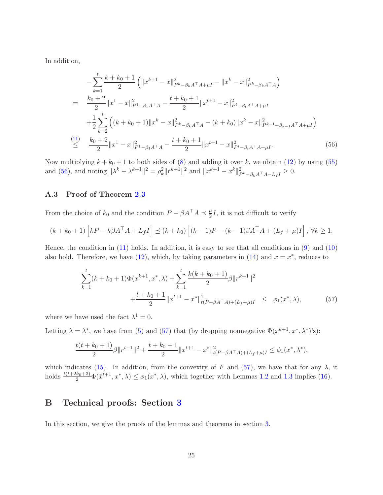In addition,

<span id="page-24-0"></span>
$$
-\sum_{k=1}^{t} \frac{k+k_0+1}{2} \left( \|x^{k+1} - x\|_{P^k - \beta_k A^\top A + \mu I}^2 - \|x^k - x\|_{P^k - \beta_k A^\top A}^2 \right)
$$
  
\n
$$
= \frac{k_0+2}{2} \|x^1 - x\|_{P^1 - \beta_1 A^\top A}^2 - \frac{t+k_0+1}{2} \|x^{t+1} - x\|_{P^t - \beta_t A^\top A + \mu I}^2
$$
  
\n
$$
+ \frac{1}{2} \sum_{k=2}^{t} \left( (k+k_0+1) \|x^k - x\|_{P^k - \beta_k A^\top A}^2 - (k+k_0) \|x^k - x\|_{P^{k-1} - \beta_{k-1} A^\top A + \mu I}^2 \right)
$$
  
\n
$$
\stackrel{(11)}{\leq} \frac{k_0+2}{2} \|x^1 - x\|_{P^1 - \beta_1 A^\top A}^2 - \frac{t+k_0+1}{2} \|x^{t+1} - x\|_{P^t - \beta_t A^\top A + \mu I}^2.
$$
  
\n(56)

Now multiplying  $k + k_0 + 1$  to both sides of [\(8\)](#page-6-2) and adding it over k, we obtain [\(12\)](#page-6-4) by using [\(55\)](#page-23-3) and [\(56\)](#page-24-0), and noting  $\|\lambda^k - \lambda^{k+1}\|^2 = \rho_k^2 \|r^{k+1}\|^2$  and  $\|x^{k+1} - x^k\|^2_{P^k - \beta_k A^\top A - L_f I} \ge 0$ .

### A.3 Proof of Theorem [2.3](#page-6-5)

From the choice of  $k_0$  and the condition  $P - \beta A^\top A \preceq \frac{\mu}{2}$  $\frac{\mu}{2}I$ , it is not difficult to verify

$$
(k + k_0 + 1) \left[ kP - k\beta A^\top A + L_f I \right] \preceq (k + k_0) \left[ (k - 1)P - (k - 1)\beta A^\top A + (L_f + \mu)I \right], \forall k \ge 1.
$$

Hence, the condition in  $(11)$  holds. In addition, it is easy to see that all conditions in  $(9)$  and  $(10)$ also hold. Therefore, we have  $(12)$ , which, by taking parameters in  $(14)$  and  $x = x^*$ , reduces to

<span id="page-24-1"></span>
$$
\sum_{k=1}^{t} (k + k_0 + 1) \Phi(x^{k+1}, x^*, \lambda) + \sum_{k=1}^{t} \frac{k(k + k_0 + 1)}{2} \beta \|r^{k+1}\|^2 + \frac{t + k_0 + 1}{2} \|x^{t+1} - x^*\|_{t(P - \beta A^\top A) + (L_f + \mu)I}^2 \leq \phi_1(x^*, \lambda),
$$
\n(57)

where we have used the fact  $\lambda^1 = 0$ .

Letting  $\lambda = \lambda^*$ , we have from [\(5\)](#page-3-3) and [\(57\)](#page-24-1) that (by dropping nonnegative  $\Phi(x^{k+1}, x^*, \lambda^*)$ 's):

$$
\frac{t(t+k_0+1)}{2}\beta\|r^{t+1}\|^2+\frac{t+k_0+1}{2}\|x^{t+1}-x^*\|^2_{t(P-\beta A^\top A)+(L_f+\mu)I}\leq \phi_1(x^*,\lambda^*),
$$

which indicates [\(15\)](#page-6-8). In addition, from the convexity of F and [\(57\)](#page-24-1), we have that for any  $\lambda$ , it holds  $\frac{t(t+2k_0+3)}{2}\Phi(\bar{x}^{t+1},x^*,\lambda) \leq \phi_1(x^*,\lambda)$ , which together with Lemmas [1.2](#page-4-5) and [1.3](#page-4-6) implies [\(16\)](#page-7-5).

# B Technical proofs: Section [3](#page-7-0)

In this section, we give the proofs of the lemmas and theorems in section [3.](#page-7-0)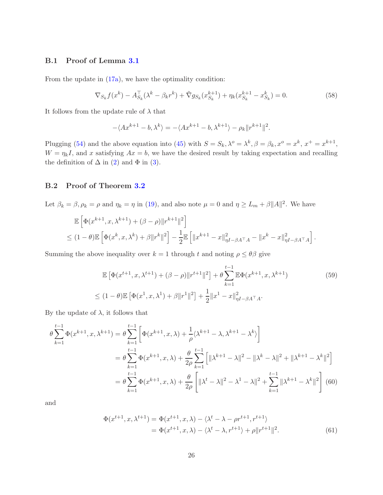### B.1 Proof of Lemma [3.1](#page-8-3)

From the update in [\(17a\)](#page-7-2), we have the optimality condition:

$$
\nabla_{S_k} f(x^k) - A_{S_k}^\top (\lambda^k - \beta_k r^k) + \tilde{\nabla} g_{S_k}(x_{S_k}^{k+1}) + \eta_k (x_{S_k}^{k+1} - x_{S_k}^k) = 0.
$$
\n(58)

It follows from the update rule of  $\lambda$  that

$$
-\langle Ax^{k+1}-b, \lambda^k \rangle = -\langle Ax^{k+1}-b, \lambda^{k+1} \rangle - \rho_k ||r^{k+1}||^2.
$$

Plugging [\(54\)](#page-23-1) and the above equation into [\(45\)](#page-21-7) with  $S = S_k, \lambda^o = \lambda^k, \beta = \beta_k, x^o = x^k, x^+ = x^{k+1}$ ,  $W = \eta_k I$ , and x satisfying  $Ax = b$ , we have the desired result by taking expectation and recalling the definition of  $\Delta$  in [\(2\)](#page-3-4) and  $\Phi$  in [\(3\)](#page-3-2).

### B.2 Proof of Theorem [3.2](#page-8-4)

Let  $\beta_k = \beta, \rho_k = \rho$  and  $\eta_k = \eta$  in [\(19\)](#page-8-2), and also note  $\mu = 0$  and  $\eta \ge L_m + \beta ||A||^2$ . We have

$$
\mathbb{E}\left[\Phi(x^{k+1},x,\lambda^{k+1}) + (\beta - \rho)\|r^{k+1}\|^2\right] \n\leq (1-\theta)\mathbb{E}\left[\Phi(x^k,x,\lambda^k) + \beta\|r^k\|^2\right] - \frac{1}{2}\mathbb{E}\left[\|x^{k+1} - x\|_{\eta I - \beta A^\top A}^2 - \|x^k - x\|_{\eta I - \beta A^\top A}^2\right].
$$

Summing the above inequality over  $k = 1$  through t and noting  $\rho \leq \theta \beta$  give

<span id="page-25-2"></span>
$$
\mathbb{E}\left[\Phi(x^{t+1},x,\lambda^{t+1}) + (\beta - \rho)\|r^{t+1}\|^2\right] + \theta \sum_{k=1}^{t-1} \mathbb{E}\Phi(x^{k+1},x,\lambda^{k+1})
$$
(59)  

$$
\leq (1-\theta)\mathbb{E}\left[\Phi(x^1,x,\lambda^1) + \beta\|r^1\|^2\right] + \frac{1}{2}\|x^1 - x\|_{\eta I - \beta A^\top A}^2.
$$

By the update of  $\lambda$ , it follows that

$$
\theta \sum_{k=1}^{t-1} \Phi(x^{k+1}, x, \lambda^{k+1}) = \theta \sum_{k=1}^{t-1} \left[ \Phi(x^{k+1}, x, \lambda) + \frac{1}{\rho} \langle \lambda^{k+1} - \lambda, \lambda^{k+1} - \lambda^k \rangle \right]
$$
  
\n
$$
= \theta \sum_{k=1}^{t-1} \Phi(x^{k+1}, x, \lambda) + \frac{\theta}{2\rho} \sum_{k=1}^{t-1} \left[ \|\lambda^{k+1} - \lambda\|^2 - \|\lambda^k - \lambda\|^2 + \|\lambda^{k+1} - \lambda^k\|^2 \right]
$$
  
\n
$$
= \theta \sum_{k=1}^{t-1} \Phi(x^{k+1}, x, \lambda) + \frac{\theta}{2\rho} \left[ \|\lambda^t - \lambda\|^2 - \lambda^1 - \lambda\|^2 + \sum_{k=1}^{t-1} \|\lambda^{k+1} - \lambda^k\|^2 \right] (60)
$$

and

<span id="page-25-1"></span><span id="page-25-0"></span>
$$
\Phi(x^{t+1}, x, \lambda^{t+1}) = \Phi(x^{t+1}, x, \lambda) - \langle \lambda^t - \lambda - \rho r^{t+1}, r^{t+1} \rangle
$$
  
= 
$$
\Phi(x^{t+1}, x, \lambda) - \langle \lambda^t - \lambda, r^{t+1} \rangle + \rho ||r^{t+1}||^2.
$$
 (61)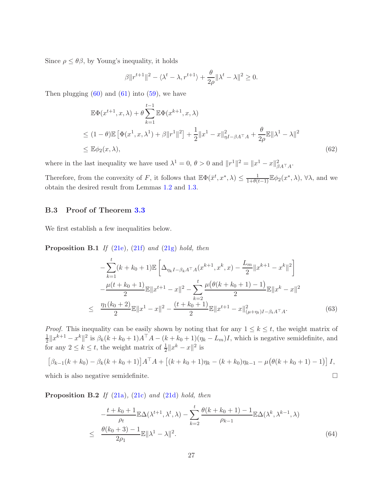Since  $\rho \leq \theta \beta$ , by Young's inequality, it holds

$$
\beta \|r^{t+1}\|^2 - \langle \lambda^t - \lambda, r^{t+1} \rangle + \frac{\theta}{2\rho} \|\lambda^t - \lambda\|^2 \ge 0.
$$

Then plugging  $(60)$  and  $(61)$  into  $(59)$ , we have

$$
\mathbb{E}\Phi(x^{t+1},x,\lambda) + \theta \sum_{k=1}^{t-1} \mathbb{E}\Phi(x^{k+1},x,\lambda)
$$
  
\n
$$
\leq (1-\theta)\mathbb{E}\left[\Phi(x^1,x,\lambda^1) + \beta \|r^1\|^2\right] + \frac{1}{2} \|x^1 - x\|_{\eta I - \beta A^\top A}^2 + \frac{\theta}{2\rho} \mathbb{E}\|\lambda^1 - \lambda\|^2
$$
  
\n
$$
\leq \mathbb{E}\phi_2(x,\lambda),
$$
\n(62)

where in the last inequality we have used  $\lambda^1 = 0$ ,  $\theta > 0$  and  $||r^1||^2 = ||x^1 - x||^2_{\beta A^\top A}$ .

Therefore, from the convexity of F, it follows that  $\mathbb{E}\Phi(\bar{x}^t, x^*, \lambda) \leq \frac{1}{1+\theta(t-1)}\mathbb{E}\phi_2(x^*, \lambda)$ ,  $\forall \lambda$ , and we obtain the desired result from Lemmas [1.2](#page-4-5) and [1.3.](#page-4-6)

### B.3 Proof of Theorem [3.3](#page-9-1)

We first establish a few inequalities below.

**Proposition B.1** If  $(21e)$ ,  $(21f)$  and  $(21g)$  hold, then

<span id="page-26-1"></span>
$$
-\sum_{k=1}^{t} (k + k_0 + 1) \mathbb{E} \left[ \Delta_{\eta_k I - \beta_k A^\top A} (x^{k+1}, x^k, x) - \frac{L_m}{2} ||x^{k+1} - x^k||^2 \right] -\frac{\mu(t + k_0 + 1)}{2} \mathbb{E} ||x^{t+1} - x||^2 - \sum_{k=2}^{t} \frac{\mu(\theta(k + k_0 + 1) - 1)}{2} \mathbb{E} ||x^k - x||^2 \leq \frac{\eta_1(k_0 + 2)}{2} \mathbb{E} ||x^1 - x||^2 - \frac{(t + k_0 + 1)}{2} \mathbb{E} ||x^{t+1} - x||^2_{(\mu + \eta_t)I - \beta_t A^\top A}.
$$
 (63)

*Proof.* This inequality can be easily shown by noting that for any  $1 \leq k \leq t$ , the weight matrix of 1  $\frac{1}{2}||x^{k+1} - x^k||^2$  is  $\beta_k(k + k_0 + 1)A^{\top}A - (k + k_0 + 1)(\eta_k - L_m)I$ , which is negative semidefinite, and for any  $2 \leq k \leq t$ , the weight matrix of  $\frac{1}{2}||x^k - x||^2$  is

$$
[\beta_{k-1}(k+k_0) - \beta_k(k+k_0+1)]A^{\top}A + [(k+k_0+1)\eta_k - (k+k_0)\eta_{k-1} - \mu(\theta(k+k_0+1)-1)]I,
$$

which is also negative semidefinite.

**Proposition B.2** If  $(21a)$ ,  $(21c)$  and  $(21d)$  hold, then

<span id="page-26-0"></span>
$$
-\frac{t+k_0+1}{\rho_t} \mathbb{E}\Delta(\lambda^{t+1}, \lambda^t, \lambda) - \sum_{k=2}^t \frac{\theta(k+k_0+1)-1}{\rho_{k-1}} \mathbb{E}\Delta(\lambda^k, \lambda^{k-1}, \lambda)
$$
  
 
$$
\leq \frac{\theta(k_0+3)-1}{2\rho_1} \mathbb{E}||\lambda^1 - \lambda||^2.
$$
 (64)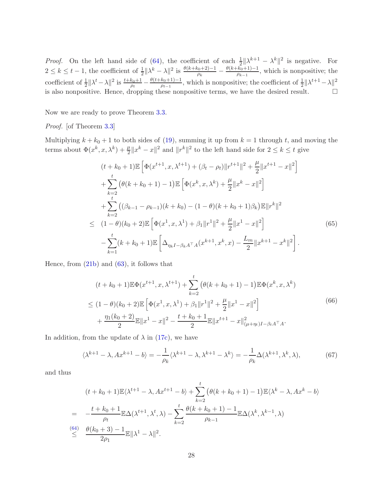*Proof.* On the left hand side of [\(64\)](#page-26-0), the coefficient of each  $\frac{1}{2} ||\lambda^{k+1} - \lambda^k||^2$  is negative. For  $2 \leq k \leq t-1$ , the coefficient of  $\frac{1}{2} \|\lambda^k - \lambda\|^2$  is  $\frac{\theta(k+k_0+2)-1}{\rho_k} - \frac{\theta(k+k_0+1)-1}{\rho_{k-1}}$  $\frac{\kappa_{0}+1-1}{\rho_{k-1}}$ , which is nonpositive; the coefficient of  $\frac{1}{2} || \lambda^t - \lambda ||^2$  is  $\frac{t+k_0+1}{\rho_t} - \frac{\theta(t+k_0+1)-1}{\rho_{t-1}}$  $\frac{k_0+1-1}{\rho_{t-1}},$  which is nonpositive; the coefficient of  $\frac{1}{2}||\lambda^{t+1} - \lambda||^2$ is also nonpositive. Hence, dropping these nonpositive terms, we have the desired result.  $\Box$ 

Now we are ready to prove Theorem [3.3.](#page-9-1)

Proof. [of Theorem [3.3\]](#page-9-1)

Multiplying  $k + k_0 + 1$  to both sides of [\(19\)](#page-8-2), summing it up from  $k = 1$  through t, and moving the terms about  $\Phi(x^k, x, \lambda^k) + \frac{\mu}{2} ||x^k - x||^2$  and  $||r^k||^2$  to the left hand side for  $2 \le k \le t$  give

$$
(t + k_0 + 1) \mathbb{E} \left[ \Phi(x^{t+1}, x, \lambda^{t+1}) + (\beta_t - \rho_t) \|r^{t+1}\|^2 + \frac{\mu}{2} \|x^{t+1} - x\|^2 \right]
$$
  
+ 
$$
\sum_{k=2}^t \left( \theta(k + k_0 + 1) - 1 \right) \mathbb{E} \left[ \Phi(x^k, x, \lambda^k) + \frac{\mu}{2} \|x^k - x\|^2 \right]
$$
  
+ 
$$
\sum_{k=2}^t \left( (\beta_{k-1} - \rho_{k-1})(k + k_0) - (1 - \theta)(k + k_0 + 1)\beta_k \right) \mathbb{E} \|r^k\|^2
$$
  

$$
\leq (1 - \theta)(k_0 + 2) \mathbb{E} \left[ \Phi(x^1, x, \lambda^1) + \beta_1 \|r^1\|^2 + \frac{\mu}{2} \|x^1 - x\|^2 \right]
$$
  
- 
$$
\sum_{k=1}^t (k + k_0 + 1) \mathbb{E} \left[ \Delta_{\eta_k I - \beta_k A^\top A}(x^{k+1}, x^k, x) - \frac{L_m}{2} \|x^{k+1} - x^k\|^2 \right].
$$
  
(65)

Hence, from  $(21b)$  and  $(63)$ , it follows that

<span id="page-27-0"></span>
$$
(t + k_0 + 1)\mathbb{E}\Phi(x^{t+1}, x, \lambda^{t+1}) + \sum_{k=2}^t (\theta(k + k_0 + 1) - 1)\mathbb{E}\Phi(x^k, x, \lambda^k)
$$
  
\n
$$
\leq (1 - \theta)(k_0 + 2)\mathbb{E}\left[\Phi(x^1, x, \lambda^1) + \beta_1 \|r^1\|^2 + \frac{\mu}{2} \|x^1 - x\|^2\right] + \frac{\eta_1(k_0 + 2)}{2}\mathbb{E}\|x^1 - x\|^2 - \frac{t + k_0 + 1}{2}\mathbb{E}\|x^{t+1} - x\|^2_{(\mu + \eta_t)I - \beta_t A^\top A}.
$$
\n(66)

In addition, from the update of  $\lambda$  in [\(17c\)](#page-7-3), we have

<span id="page-27-1"></span>
$$
\langle \lambda^{k+1} - \lambda, Ax^{k+1} - b \rangle = -\frac{1}{\rho_k} \langle \lambda^{k+1} - \lambda, \lambda^{k+1} - \lambda^k \rangle = -\frac{1}{\rho_k} \Delta(\lambda^{k+1}, \lambda^k, \lambda),\tag{67}
$$

and thus

$$
(t + k_0 + 1) \mathbb{E} \langle \lambda^{t+1} - \lambda, Ax^{t+1} - b \rangle + \sum_{k=2}^t \left( \theta(k + k_0 + 1) - 1 \right) \mathbb{E} \langle \lambda^k - \lambda, Ax^k - b \rangle
$$
  
= 
$$
- \frac{t + k_0 + 1}{\rho_t} \mathbb{E} \Delta(\lambda^{t+1}, \lambda^t, \lambda) - \sum_{k=2}^t \frac{\theta(k + k_0 + 1) - 1}{\rho_{k-1}} \mathbb{E} \Delta(\lambda^k, \lambda^{k-1}, \lambda)
$$
  

$$
\stackrel{(64)}{\leq} \frac{\theta(k_0 + 3) - 1}{2\rho_1} \mathbb{E} \|\lambda^1 - \lambda\|^2.
$$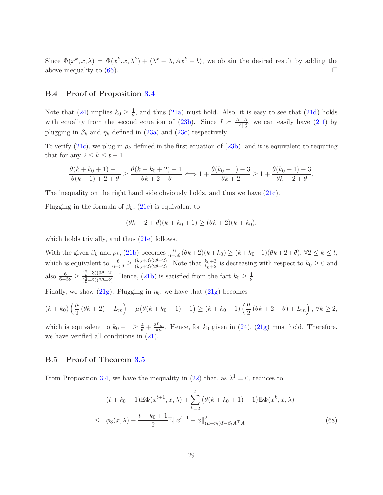Since  $\Phi(x^k, x, \lambda) = \Phi(x^k, x, \lambda^k) + \langle \lambda^k - \lambda, Ax^k - b \rangle$ , we obtain the desired result by adding the above inequality to  $(66)$ .

### B.4 Proof of Proposition [3.4](#page-10-3)

Note that [\(24\)](#page-10-4) implies  $k_0 \ge \frac{4}{\theta}$ , and thus [\(21a\)](#page-9-2) must hold. Also, it is easy to see that [\(21d\)](#page-9-2) holds with equality from the second equation of [\(23b\)](#page-10-5). Since  $I \succeq \frac{A^{\top} A}{\|A\|^2}$  $\frac{A^T A}{\|A\|_2^2}$ , we can easily have  $(21f)$  by plugging in  $\beta_k$  and  $\eta_k$  defined in [\(23a\)](#page-10-6) and [\(23c\)](#page-10-7) respectively.

To verify [\(21c\)](#page-9-2), we plug in  $\rho_k$  defined in the first equation of [\(23b\)](#page-10-5), and it is equivalent to requiring that for any  $2 \leq k \leq t-1$ 

$$
\frac{\theta(k+k_0+1)-1}{\theta(k-1)+2+\theta} \ge \frac{\theta(k+k_0+2)-1}{\theta k+2+\theta} \Longleftrightarrow 1 + \frac{\theta(k_0+1)-3}{\theta k+2} \ge 1 + \frac{\theta(k_0+1)-3}{\theta k+2+\theta}.
$$

The inequality on the right hand side obviously holds, and thus we have [\(21c\)](#page-9-2).

Plugging in the formula of  $\beta_k$ , [\(21e\)](#page-9-2) is equivalent to

$$
(\theta k + 2 + \theta)(k + k_0 + 1) \ge (\theta k + 2)(k + k_0),
$$

which holds trivially, and thus  $(21e)$  follows.

With the given  $\beta_k$  and  $\rho_k$ , [\(21b\)](#page-9-2) becomes  $\frac{6}{6-5\theta}(\theta k+2)(k+k_0) \ge (k+k_0+1)(\theta k+2+\theta)$ ,  $\forall 2 \le k \le t$ , which is equivalent to  $\frac{6}{6-5\theta} \ge \frac{(k_0+3)(3\theta+2)}{(k_0+2)(2\theta+2)}$ . Note that  $\frac{k_0+3}{k_0+2}$  is decreasing with respect to  $k_0 \ge 0$  and also  $\frac{6}{6-5\theta} \geq \frac{(\frac{3}{\theta}+3)(3\theta+2)}{(\frac{3}{2}+2)(2\theta+2)}$  $\left(\frac{3}{\theta}+3\right)\left(3\theta+2\right)$ . Hence, [\(21b\)](#page-9-2) is satisfied from the fact  $k_0 \geq \frac{4}{\theta}$  $\frac{4}{\theta}$ .

Finally, we show [\(21g\)](#page-9-2). Plugging in  $\eta_k$ , we have that (21g) becomes

$$
(k + k_0) \left(\frac{\mu}{2} (\theta k + 2) + L_m\right) + \mu \left(\theta (k + k_0 + 1) - 1\right) \ge (k + k_0 + 1) \left(\frac{\mu}{2} (\theta k + 2 + \theta) + L_m\right), \forall k \ge 2,
$$

which is equivalent to  $k_0 + 1 \ge \frac{4}{\theta} + \frac{2L_m}{\theta \mu}$ . Hence, for  $k_0$  given in [\(24\)](#page-10-4), [\(21g\)](#page-9-2) must hold. Therefore, we have verified all conditions in  $(21)$ .

#### B.5 Proof of Theorem [3.5](#page-10-8)

From Proposition [3.4,](#page-10-3) we have the inequality in [\(22\)](#page-9-3) that, as  $\lambda^1 = 0$ , reduces to

<span id="page-28-0"></span>
$$
(t + k_0 + 1)\mathbb{E}\Phi(x^{t+1}, x, \lambda) + \sum_{k=2}^t (\theta(k + k_0 + 1) - 1)\mathbb{E}\Phi(x^k, x, \lambda)
$$
  
 
$$
\leq \phi_3(x, \lambda) - \frac{t + k_0 + 1}{2}\mathbb{E}||x^{t+1} - x||_{(\mu + \eta_t)I - \beta_t A^\top A}^2.
$$
 (68)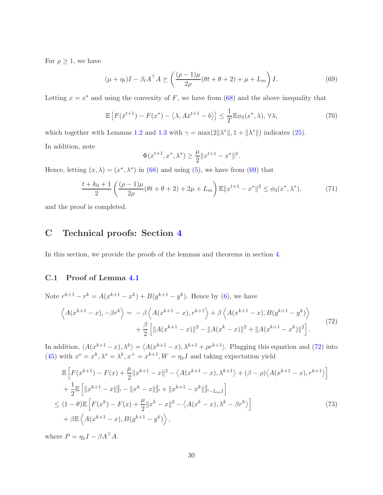For  $\rho \geq 1$ , we have

<span id="page-29-0"></span>
$$
(\mu + \eta_t)I - \beta_t A^\top A \succeq \left(\frac{(\rho - 1)\mu}{2\rho}(\theta t + \theta + 2) + \mu + L_m\right)I.
$$
\n(69)

Letting  $x = x^*$  and using the convexity of F, we have from [\(68\)](#page-28-0) and the above inequality that

$$
\mathbb{E}\left[F(\bar{x}^{t+1}) - F(x^*) - \langle \lambda, A\bar{x}^{t+1} - b \rangle\right] \le \frac{1}{T} \mathbb{E}\phi_3(x^*, \lambda), \forall \lambda,
$$
\n(70)

which together with Lemmas [1.2](#page-4-5) and [1.3](#page-4-6) with  $\gamma = \max(2||\lambda^*||, 1 + ||\lambda^*||)$  indicates [\(25\)](#page-10-9). In addition, note

$$
\Phi(x^{t+1}, x^*, \lambda^*) \ge \frac{\mu}{2} \|x^{t+1} - x^*\|^2.
$$

Hence, letting  $(x, \lambda) = (x^*, \lambda^*)$  in [\(68\)](#page-28-0) and using [\(5\)](#page-3-3), we have from [\(69\)](#page-29-0) that

$$
\frac{t+k_0+1}{2} \left( \frac{(\rho-1)\mu}{2\rho} (\theta t + \theta + 2) + 2\mu + L_m \right) \mathbb{E} \|x^{t+1} - x^*\|^2 \le \phi_3(x^*, \lambda^*),\tag{71}
$$

and the proof is completed.

# C Technical proofs: Section [4](#page-10-0)

In this section, we provide the proofs of the lemmas and theorems in section [4.](#page-10-0)

### C.1 Proof of Lemma [4.1](#page-12-2)

Note  $r^{k+1} - r^k = A(x^{k+1} - x^k) + B(y^{k+1} - y^k)$ . Hence by [\(6\)](#page-4-4), we have

<span id="page-29-1"></span>
$$
\left\langle A(x^{k+1}-x), -\beta r^k \right\rangle = -\beta \left\langle A(x^{k+1}-x), r^{k+1} \right\rangle + \beta \left\langle A(x^{k+1}-x), B(y^{k+1}-y^k) \right\rangle + \frac{\beta}{2} \left[ \|A(x^{k+1}-x)\|^2 - \|A(x^k-x)\|^2 + \|A(x^{k+1}-x^k)\|^2 \right].
$$
\n(72)

In addition,  $\langle A(x^{k+1}-x), \lambda^k \rangle = \langle A(x^{k+1}-x), \lambda^{k+1} + \rho r^{k+1} \rangle$ . Plugging this equation and [\(72\)](#page-29-1) into [\(45\)](#page-21-7) with  $x^o = x^k, \lambda^o = \lambda^k, x^+ = x^{k+1}, W = \eta_x I$  and taking expectation yield

<span id="page-29-2"></span>
$$
\mathbb{E}\left[F(x^{k+1}) - F(x) + \frac{\mu}{2}||x^{k+1} - x||^2 - \langle A(x^{k+1} - x), \lambda^{k+1} \rangle + (\beta - \rho)\langle A(x^{k+1} - x), r^{k+1} \rangle \right] \n+ \frac{1}{2}\mathbb{E}\left[||x^{k+1} - x||_P^2 - ||x^k - x||_P^2 + ||x^{k+1} - x^k||_{P-L_mI}^2\right] \n\leq (1 - \theta)\mathbb{E}\left[F(x^k) - F(x) + \frac{\mu}{2}||x^k - x||^2 - \langle A(x^k - x), \lambda^k - \beta r^k \rangle \right] \n+ \beta\mathbb{E}\left\langle A(x^{k+1} - x), B(y^{k+1} - y^k) \right\rangle,
$$
\n(73)

where  $P = \eta_x I - \beta A^\top A$ .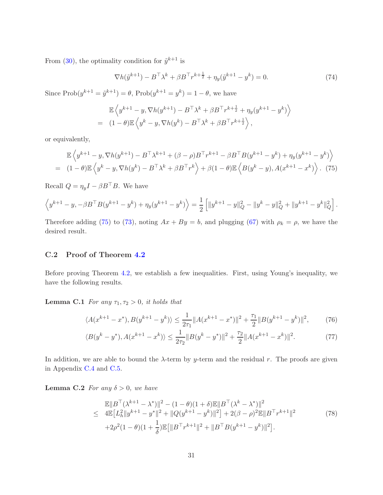From [\(30\)](#page-12-3), the optimality condition for  $\tilde{y}^{k+1}$  is

<span id="page-30-2"></span>
$$
\nabla h(\tilde{y}^{k+1}) - B^{\top} \lambda^k + \beta B^{\top} r^{k + \frac{1}{2}} + \eta_y(\tilde{y}^{k+1} - y^k) = 0.
$$
 (74)

Since  $\text{Prob}(y^{k+1} = \tilde{y}^{k+1}) = \theta$ ,  $\text{Prob}(y^{k+1} = y^k) = 1 - \theta$ , we have

$$
\mathbb{E}\left\langle y^{k+1} - y, \nabla h(y^{k+1}) - B^{\top} \lambda^k + \beta B^{\top} r^{k+\frac{1}{2}} + \eta_y(y^{k+1} - y^k) \right\rangle
$$
  
= 
$$
(1 - \theta) \mathbb{E}\left\langle y^k - y, \nabla h(y^k) - B^{\top} \lambda^k + \beta B^{\top} r^{k+\frac{1}{2}} \right\rangle,
$$

or equivalently,

<span id="page-30-0"></span>
$$
\mathbb{E}\left\langle y^{k+1} - y, \nabla h(y^{k+1}) - B^{\top}\lambda^{k+1} + (\beta - \rho)B^{\top}r^{k+1} - \beta B^{\top}B(y^{k+1} - y^k) + \eta_y(y^{k+1} - y^k)\right\rangle
$$
  
= 
$$
(1 - \theta)\mathbb{E}\left\langle y^k - y, \nabla h(y^k) - B^{\top}\lambda^k + \beta B^{\top}r^k\right\rangle + \beta(1 - \theta)\mathbb{E}\left\langle B(y^k - y), A(x^{k+1} - x^k)\right\rangle. (75)
$$

Recall  $Q = \eta_y I - \beta B^\top B$ . We have

$$
\left\langle y^{k+1} - y, -\beta B^{\top} B (y^{k+1} - y^k) + \eta_y (y^{k+1} - y^k) \right\rangle = \frac{1}{2} \left[ \|y^{k+1} - y\|_Q^2 - \|y^k - y\|_Q^2 + \|y^{k+1} - y^k\|_Q^2 \right].
$$

Therefore adding [\(75\)](#page-30-0) to [\(73\)](#page-29-2), noting  $Ax + By = b$ , and plugging [\(67\)](#page-27-1) with  $\rho_k = \rho$ , we have the desired result.

### C.2 Proof of Theorem [4.2](#page-13-0)

Before proving Theorem [4.2,](#page-13-0) we establish a few inequalities. First, using Young's inequality, we have the following results.

**Lemma C.1** For any  $\tau_1, \tau_2 > 0$ , it holds that

<span id="page-30-4"></span>
$$
\langle A(x^{k+1} - x^*), B(y^{k+1} - y^k) \rangle \le \frac{1}{2\tau_1} \|A(x^{k+1} - x^*)\|^2 + \frac{\tau_1}{2} \|B(y^{k+1} - y^k)\|^2,\tag{76}
$$

$$
\langle B(y^k - y^*), A(x^{k+1} - x^k) \rangle \le \frac{1}{2\tau_2} \|B(y^k - y^*)\|^2 + \frac{\tau_2}{2} \|A(x^{k+1} - x^k)\|^2. \tag{77}
$$

In addition, we are able to bound the  $\lambda$ -term by y-term and the residual r. The proofs are given in Appendix [C.4](#page-34-0) and [C.5.](#page-35-0)

<span id="page-30-3"></span>**Lemma C.2** For any  $\delta > 0$ , we have

<span id="page-30-5"></span><span id="page-30-1"></span>
$$
\mathbb{E}||B^{\top}(\lambda^{k+1} - \lambda^{*})||^{2} - (1 - \theta)(1 + \delta)\mathbb{E}||B^{\top}(\lambda^{k} - \lambda^{*})||^{2}
$$
\n
$$
\leq 4\mathbb{E}\left[L_{h}^{2}||y^{k+1} - y^{*}||^{2} + ||Q(y^{k+1} - y^{k})||^{2}\right] + 2(\beta - \rho)^{2}\mathbb{E}||B^{\top}r^{k+1}||^{2}
$$
\n
$$
+2\rho^{2}(1 - \theta)(1 + \frac{1}{\delta})\mathbb{E}\left[||B^{\top}r^{k+1}||^{2} + ||B^{\top}B(y^{k+1} - y^{k})||^{2}\right].
$$
\n(78)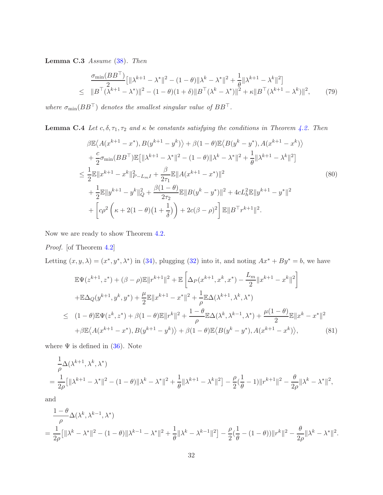Lemma C.3 Assume [\(38\)](#page-13-1). Then

<span id="page-31-3"></span>
$$
\frac{\sigma_{\min}(BB^{\top})}{2} [\|\lambda^{k+1} - \lambda^*\|^2 - (1 - \theta)\|\lambda^k - \lambda^*\|^2 + \frac{1}{\theta}\|\lambda^{k+1} - \lambda^k\|^2] \leq \|B^{\top}(\lambda^{k+1} - \lambda^*)\|^2 - (1 - \theta)(1 + \delta) \|B^{\top}(\lambda^k - \lambda^*)\|^2 + \kappa \|B^{\top}(\lambda^{k+1} - \lambda^k)\|^2, \tag{79}
$$

<span id="page-31-2"></span>where  $\sigma_{\min}(BB^{\top})$  denotes the smallest singular value of  $BB^{\top}$ .

**Lemma C.4** Let  $c, \delta, \tau_1, \tau_2$  and  $\kappa$  be constants satisfying the conditions in Theorem [4.2.](#page-13-0) Then

<span id="page-31-0"></span>
$$
\beta \mathbb{E} \langle A(x^{k+1} - x^*), B(y^{k+1} - y^k) \rangle + \beta (1 - \theta) \mathbb{E} \langle B(y^k - y^*), A(x^{k+1} - x^k) \rangle \n+ \frac{c}{2} \sigma_{\min} (BB^{\top}) \mathbb{E} \left[ \| \lambda^{k+1} - \lambda^* \|^2 - (1 - \theta) \| \lambda^k - \lambda^* \|^2 + \frac{1}{\theta} \| \lambda^{k+1} - \lambda^k \|^2 \right] \n\leq \frac{1}{2} \mathbb{E} \| x^{k+1} - x^k \|^2_{P-L_m I} + \frac{\beta}{2\tau_1} \mathbb{E} \| A(x^{k+1} - x^*) \|^2 \n+ \frac{1}{2} \mathbb{E} \| y^{k+1} - y^k \|^2_Q + \frac{\beta (1 - \theta)}{2\tau_2} \mathbb{E} \| B(y^k - y^*) \|^2 + 4cL_h^2 \mathbb{E} \| y^{k+1} - y^* \|^2 \n+ \left[ c\rho^2 \left( \kappa + 2(1 - \theta)(1 + \frac{1}{\delta}) \right) + 2c(\beta - \rho)^2 \right] \mathbb{E} \| B^{\top} r^{k+1} \|^2.
$$
\n(80)

Now we are ready to show Theorem [4.2.](#page-13-0)

Proof. [of Theorem [4.2\]](#page-13-0)

Letting  $(x, y, \lambda) = (x^*, y^*, \lambda^*)$  in [\(34\)](#page-13-4), plugging [\(32\)](#page-11-2) into it, and noting  $Ax^* + By^* = b$ , we have

<span id="page-31-1"></span>
$$
\mathbb{E}\Psi(z^{k+1},z^*) + (\beta - \rho)\mathbb{E}||r^{k+1}||^2 + \mathbb{E}\left[\Delta_P(x^{k+1},x^k,x^*) - \frac{L_m}{2}||x^{k+1} - x^k||^2\right] \n+ \mathbb{E}\Delta_Q(y^{k+1},y^k,y^*) + \frac{\mu}{2}\mathbb{E}||x^{k+1} - x^*||^2 + \frac{1}{\rho}\mathbb{E}\Delta(\lambda^{k+1},\lambda^k,\lambda^*) \n\leq (1-\theta)\mathbb{E}\Psi(z^k,z^*) + \beta(1-\theta)\mathbb{E}||r^k||^2 + \frac{1-\theta}{\rho}\mathbb{E}\Delta(\lambda^k,\lambda^{k-1},\lambda^*) + \frac{\mu(1-\theta)}{2}\mathbb{E}||x^k - x^*||^2 \n+ \beta\mathbb{E}\langle A(x^{k+1} - x^*),B(y^{k+1} - y^k)\rangle + \beta(1-\theta)\mathbb{E}\langle B(y^k - y^*),A(x^{k+1} - x^k)\rangle, \tag{81}
$$

where  $\Psi$  is defined in [\(36\)](#page-13-5). Note

$$
\frac{1}{\rho} \Delta(\lambda^{k+1}, \lambda^k, \lambda^*)
$$
\n
$$
= \frac{1}{2\rho} \left[ \| \lambda^{k+1} - \lambda^* \|^2 - (1 - \theta) \| \lambda^k - \lambda^* \|^2 + \frac{1}{\theta} \| \lambda^{k+1} - \lambda^k \|^2 \right] - \frac{\rho}{2} (\frac{1}{\theta} - 1) \| r^{k+1} \|^2 - \frac{\theta}{2\rho} \| \lambda^k - \lambda^* \|^2,
$$

and

$$
\frac{1-\theta}{\rho} \Delta(\lambda^k, \lambda^{k-1}, \lambda^*)
$$
\n
$$
= \frac{1}{2\rho} [\|\lambda^k - \lambda^*\|^2 - (1-\theta)\|\lambda^{k-1} - \lambda^*\|^2 + \frac{1}{\theta}\|\lambda^k - \lambda^{k-1}\|^2] - \frac{\rho}{2}(\frac{1}{\theta} - (1-\theta))\|r^k\|^2 - \frac{\theta}{2\rho}\|\lambda^k - \lambda^*\|^2.
$$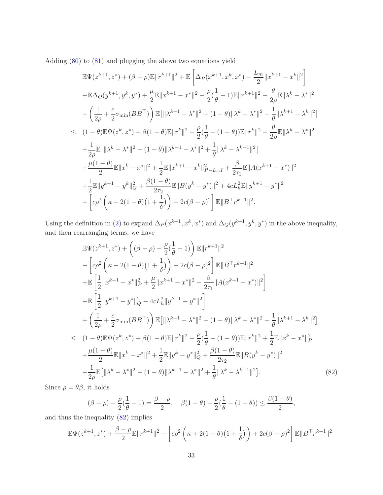Adding [\(80\)](#page-31-0) to [\(81\)](#page-31-1) and plugging the above two equations yield

$$
\mathbb{E}\Psi(z^{k+1},z^*) + (\beta - \rho)\mathbb{E}||r^{k+1}||^2 + \mathbb{E}\left[\Delta_P(x^{k+1},x^k,x^*) - \frac{L_m}{2}||x^{k+1} - x^k||^2\right] \n+ \mathbb{E}\Delta_Q(y^{k+1},y^k,y^*) + \frac{\mu}{2}\mathbb{E}||x^{k+1} - x^*||^2 - \frac{\rho}{2}(\frac{1}{\theta}-1)\mathbb{E}||r^{k+1}||^2 - \frac{\theta}{2\rho}\mathbb{E}||\lambda^k - \lambda^*||^2 \n+ \left(\frac{1}{2\rho} + \frac{c}{2}\sigma_{\min}(BB^\top)\right)\mathbb{E}\left[||\lambda^{k+1} - \lambda^*||^2 - (1-\theta)||\lambda^k - \lambda^*||^2 + \frac{1}{\theta}||\lambda^{k+1} - \lambda^k||^2\right] \n\leq (1-\theta)\mathbb{E}\Psi(z^k,z^*) + \beta(1-\theta)\mathbb{E}||r^k||^2 - \frac{\rho}{2}(\frac{1}{\theta}-(1-\theta))\mathbb{E}||r^k||^2 - \frac{\theta}{2\rho}\mathbb{E}||\lambda^k - \lambda^*||^2 \n+ \frac{1}{2\rho}\mathbb{E}\left[||\lambda^k - \lambda^*||^2 - (1-\theta)||\lambda^{k-1} - \lambda^*||^2 + \frac{1}{\theta}||\lambda^k - \lambda^{k-1}||^2\right] \n+ \frac{\mu(1-\theta)}{2}\mathbb{E}||x^k - x^*||^2 + \frac{1}{2}\mathbb{E}||x^{k+1} - x^k||^2_{P-L_mI} + \frac{\beta}{2\tau_1}\mathbb{E}||A(x^{k+1} - x^*)||^2 \n+ \frac{1}{2}\mathbb{E}||y^{k+1} - y^k||^2_{Q} + \frac{\beta(1-\theta)}{2\tau_2}\mathbb{E}||B(y^k - y^*)||^2 + 4cL_h^2\mathbb{E}||y^{k+1} - y^*||^2 \n+ \left[c\rho^2\left(\kappa + 2(1-\theta)(1+\frac{1}{\delta})\right) + 2c(\beta - \rho)^2\right]\mathbb{E}||B^\top r^{k+1}||^2.
$$

Using the definition in [\(2\)](#page-3-4) to expand  $\Delta_P(x^{k+1}, x^k, x^*)$  and  $\Delta_Q(y^{k+1}, y^k, y^*)$  in the above inequality, and then rearranging terms, we have

<span id="page-32-0"></span>
$$
\mathbb{E}\Psi(z^{k+1},z^*) + ((\beta - \rho) - \frac{\rho}{2}(\frac{1}{\theta} - 1)) \mathbb{E}||r^{k+1}||^2 \n- \left[ c\rho^2 \left( \kappa + 2(1 - \theta)(1 + \frac{1}{\delta}) \right) + 2c(\beta - \rho)^2 \right] \mathbb{E}||B^\top r^{k+1}||^2 \n+ \mathbb{E} \left[ \frac{1}{2} ||x^{k+1} - x^*||_P^2 + \frac{\mu}{2} ||x^{k+1} - x^*||^2 - \frac{\beta}{2\tau_1} ||A(x^{k+1} - x^*)||^2 \right] \n+ \mathbb{E} \left[ \frac{1}{2} ||y^{k+1} - y^*||_Q^2 - 4cL_h^2 ||y^{k+1} - y^*||^2 \right] \n+ \left( \frac{1}{2\rho} + \frac{c}{2}\sigma_{\min}(BB^\top) \right) \mathbb{E}[\|\lambda^{k+1} - \lambda^*||^2 - (1 - \theta)||\lambda^k - \lambda^*||^2 + \frac{1}{\theta} ||\lambda^{k+1} - \lambda^k||^2] \n\leq (1 - \theta) \mathbb{E}\Psi(z^k, z^*) + \beta(1 - \theta) \mathbb{E}||r^k||^2 - \frac{\rho}{2}(\frac{1}{\theta} - (1 - \theta)) \mathbb{E}||r^k||^2 + \frac{1}{2} \mathbb{E}||x^k - x^*||_P^2 \n+ \frac{\mu(1 - \theta)}{2} \mathbb{E}||x^k - x^*||^2 + \frac{1}{2} \mathbb{E}||y^k - y^*||_Q^2 + \frac{\beta(1 - \theta)}{2\tau_2} \mathbb{E}||B(y^k - y^*)||^2 \n+ \frac{1}{2\rho} \mathbb{E}[\|\lambda^k - \lambda^*||^2 - (1 - \theta)||\lambda^{k-1} - \lambda^*||^2 + \frac{1}{\theta}||\lambda^k - \lambda^{k-1}||^2].
$$
\n(82)

Since  $\rho=\theta\beta,$  it holds

$$
(\beta - \rho) - \frac{\rho}{2}(\frac{1}{\theta} - 1) = \frac{\beta - \rho}{2}, \quad \beta(1 - \theta) - \frac{\rho}{2}(\frac{1}{\theta} - (1 - \theta)) \le \frac{\beta(1 - \theta)}{2},
$$

<span id="page-32-1"></span>and thus the inequality [\(82\)](#page-32-0) implies

$$
\mathbb{E}\Psi(z^{k+1},z^*) + \frac{\beta-\rho}{2}\mathbb{E}||r^{k+1}||^2 - \left[c\rho^2\left(\kappa + 2(1-\theta)(1+\frac{1}{\delta})\right) + 2c(\beta-\rho)^2\right]\mathbb{E}||B\top r^{k+1}||^2
$$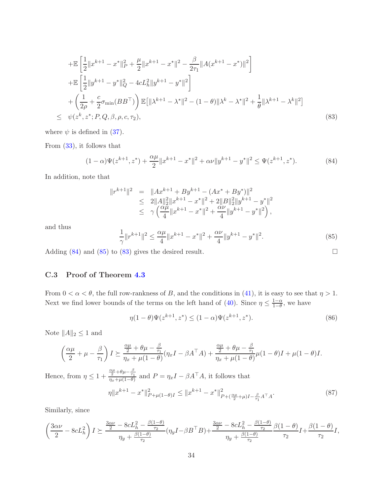$$
+ \mathbb{E}\left[\frac{1}{2}||x^{k+1} - x^*||_P^2 + \frac{\mu}{2}||x^{k+1} - x^*||^2 - \frac{\beta}{2\tau_1}||A(x^{k+1} - x^*)||^2\right] + \mathbb{E}\left[\frac{1}{2}||y^{k+1} - y^*||_Q^2 - 4cL_h^2||y^{k+1} - y^*||^2\right] + \left(\frac{1}{2\rho} + \frac{c}{2}\sigma_{\min}(BB^\top)\right) \mathbb{E}\left[||\lambda^{k+1} - \lambda^*||^2 - (1-\theta)||\lambda^k - \lambda^*||^2 + \frac{1}{\theta}||\lambda^{k+1} - \lambda^k||^2\right] \leq \psi(z^k, z^*; P, Q, \beta, \rho, c, \tau_2),
$$
\n(83)

where  $\psi$  is defined in [\(37\)](#page-13-6).

From [\(33\)](#page-12-4), it follows that

<span id="page-33-0"></span>
$$
(1 - \alpha)\Psi(z^{k+1}, z^*) + \frac{\alpha\mu}{2} \|x^{k+1} - x^*\|^2 + \alpha\nu \|y^{k+1} - y^*\|^2 \le \Psi(z^{k+1}, z^*). \tag{84}
$$

In addition, note that

$$
\begin{array}{rcl} \|r^{k+1}\|^2&=&\|Ax^{k+1}+By^{k+1}-(Ax^*+By^*)\|^2\\&\leq& 2\|A\|_2^2\|x^{k+1}-x^*\|^2+2\|B\|_2^2\|y^{k+1}-y^*\|^2\\&\leq& \gamma\left(\frac{\alpha\mu}{4}\|x^{k+1}-x^*\|^2+\frac{\alpha\nu}{4}\|y^{k+1}-y^*\|^2\right), \end{array}
$$

and thus

<span id="page-33-1"></span>
$$
\frac{1}{\gamma} \|r^{k+1}\|^2 \le \frac{\alpha \mu}{4} \|x^{k+1} - x^*\|^2 + \frac{\alpha \nu}{4} \|y^{k+1} - y^*\|^2. \tag{85}
$$

Adding  $(84)$  and  $(85)$  to  $(83)$  gives the desired result.

### C.3 Proof of Theorem [4.3](#page-14-1)

From  $0 < \alpha < \theta$ , the full row-rankness of B, and the conditions in [\(41\)](#page-14-3), it is easy to see that  $\eta > 1$ . Next we find lower bounds of the terms on the left hand of [\(40\)](#page-13-7). Since  $\eta \leq \frac{1-\alpha}{1-\theta}$  $\frac{1-\alpha}{1-\theta}$ , we have

<span id="page-33-2"></span>
$$
\eta(1-\theta)\Psi(z^{k+1},z^*) \le (1-\alpha)\Psi(z^{k+1},z^*). \tag{86}
$$

Note  $||A||_2 \leq 1$  and

$$
\left(\frac{\alpha\mu}{2}+\mu-\frac{\beta}{\tau_1}\right)I \succeq \frac{\frac{\alpha\mu}{2}+\theta\mu-\frac{\beta}{\tau_1}}{\eta_x+\mu(1-\theta)}(\eta_xI-\beta A^\top A)+\frac{\frac{\alpha\mu}{2}+\theta\mu-\frac{\beta}{\tau_1}}{\eta_x+\mu(1-\theta)}\mu(1-\theta)I+\mu(1-\theta)I.
$$

Hence, from  $\eta \leq 1 +$  $\frac{\alpha\mu}{2}+\theta\mu-\frac{\beta}{\tau_1}$  and  $P=\eta_xI-\beta A^{\top}A$ , it follows that

$$
\eta \|x^{k+1} - x^*\|_{P+\mu(1-\theta)I}^2 \le \|x^{k+1} - x^*\|_{P+(\frac{\alpha\mu}{2}+\mu)I - \frac{\beta}{\tau_1}A^\top A}^2. \tag{87}
$$

Similarly, since

$$
\left(\frac{3\alpha\nu}{2}-8cL_{h}^{2}\right)I\succeq\frac{\frac{3\alpha\nu}{2}-8cL_{h}^{2}-\frac{\beta(1-\theta)}{\tau_{2}}}{\eta_{y}+\frac{\beta(1-\theta)}{\tau_{2}}}(\eta_{y}I-\beta B^{\top}B)+\frac{\frac{3\alpha\nu}{2}-8cL_{h}^{2}-\frac{\beta(1-\theta)}{\tau_{2}}}{\eta_{y}+\frac{\beta(1-\theta)}{\tau_{2}}}\frac{\beta(1-\theta)}{\tau_{2}}I+\frac{\beta(1-\theta)}{\tau_{2}}I,
$$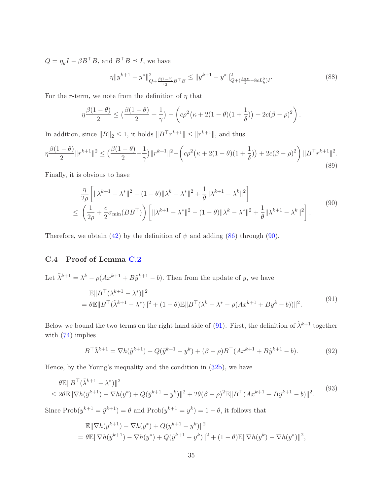$Q = \eta_y I - \beta B^{\top} B$ , and  $B^{\top} B \preceq I$ , we have

$$
\eta \|y^{k+1} - y^*\|_{Q + \frac{\beta(1-\theta)}{r_2}B^\top B}^2 \le \|y^{k+1} - y^*\|_{Q + (\frac{3\alpha\nu}{2} - 8cL_h^2)I}^2. \tag{88}
$$

For the r-term, we note from the definition of  $\eta$  that

$$
\eta \frac{\beta(1-\theta)}{2} \leq \left(\frac{\beta(1-\theta)}{2} + \frac{1}{\gamma}\right) - \left(c\rho^2\left(\kappa + 2(1-\theta)(1+\frac{1}{\delta})\right) + 2c(\beta-\rho)^2\right).
$$

In addition, since  $||B||_2 \leq 1$ , it holds  $||B<sup>T</sup>r<sup>k+1</sup>|| \leq ||r<sup>k+1</sup>||$ , and thus

$$
\eta \frac{\beta(1-\theta)}{2} \|r^{k+1}\|^2 \le \left(\frac{\beta(1-\theta)}{2} + \frac{1}{\gamma}\right) \|r^{k+1}\|^2 - \left(c\rho^2\left(\kappa + 2(1-\theta)(1+\frac{1}{\delta})\right) + 2c(\beta-\rho)^2\right) \|B^\top r^{k+1}\|^2. \tag{89}
$$

Finally, it is obvious to have

<span id="page-34-1"></span>
$$
\frac{\eta}{2\rho} \left[ \|\lambda^{k+1} - \lambda^*\|^2 - (1 - \theta)\|\lambda^k - \lambda^*\|^2 + \frac{1}{\theta}\|\lambda^{k+1} - \lambda^k\|^2 \right] \le \left( \frac{1}{2\rho} + \frac{c}{2}\sigma_{\min}(BB^\top) \right) \left[ \|\lambda^{k+1} - \lambda^*\|^2 - (1 - \theta)\|\lambda^k - \lambda^*\|^2 + \frac{1}{\theta}\|\lambda^{k+1} - \lambda^k\|^2 \right].
$$
\n(90)

<span id="page-34-0"></span>Therefore, we obtain [\(42\)](#page-14-0) by the definition of  $\psi$  and adding [\(86\)](#page-33-2) through [\(90\)](#page-34-1).

### C.4 Proof of Lemma [C.2](#page-30-1)

Let  $\tilde{\lambda}^{k+1} = \lambda^k - \rho(Ax^{k+1} + B\tilde{y}^{k+1} - b)$ . Then from the update of y, we have

<span id="page-34-2"></span>
$$
\mathbb{E}||B^{\top}(\lambda^{k+1} - \lambda^{*})||^{2}
$$
  
=  $\theta \mathbb{E}||B^{\top}(\tilde{\lambda}^{k+1} - \lambda^{*})||^{2} + (1 - \theta)\mathbb{E}||B^{\top}(\lambda^{k} - \lambda^{*} - \rho(Ax^{k+1} + By^{k} - b))||^{2}.$  (91)

Below we bound the two terms on the right hand side of [\(91\)](#page-34-2). First, the definition of  $\tilde{\lambda}^{k+1}$  together with  $(74)$  implies

$$
B^{\top} \tilde{\lambda}^{k+1} = \nabla h(\tilde{y}^{k+1}) + Q(\tilde{y}^{k+1} - y^k) + (\beta - \rho)B^{\top} (Ax^{k+1} + B\tilde{y}^{k+1} - b).
$$
 (92)

,

Hence, by the Young's inequality and the condition in [\(32b\)](#page-11-3), we have

<span id="page-34-3"></span>
$$
\theta \mathbb{E} \| B^{\top} (\tilde{\lambda}^{k+1} - \lambda^*) \|^2
$$
  
\n
$$
\leq 2\theta \mathbb{E} \| \nabla h(\tilde{y}^{k+1}) - \nabla h(y^*) + Q(\tilde{y}^{k+1} - y^k) \|^2 + 2\theta(\beta - \rho)^2 \mathbb{E} \| B^{\top} (Ax^{k+1} + B\tilde{y}^{k+1} - b) \|^2.
$$
\n
$$
(93)
$$

Since  $\text{Prob}(y^{k+1} = \tilde{y}^{k+1}) = \theta$  and  $\text{Prob}(y^{k+1} = y^k) = 1 - \theta$ , it follows that

$$
\mathbb{E} \|\nabla h(y^{k+1}) - \nabla h(y^*) + Q(y^{k+1} - y^k)\|^2
$$
  
=  $\theta \mathbb{E} \|\nabla h(\tilde{y}^{k+1}) - \nabla h(y^*) + Q(\tilde{y}^{k+1} - y^k)\|^2 + (1 - \theta) \mathbb{E} \|\nabla h(y^k) - \nabla h(y^*)\|^2$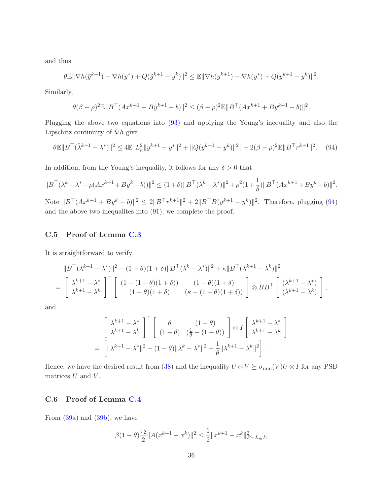and thus

$$
\theta \mathbb{E} \|\nabla h(\tilde{y}^{k+1}) - \nabla h(y^*) + Q(\tilde{y}^{k+1} - y^k)\|^2 \le \mathbb{E} \|\nabla h(y^{k+1}) - \nabla h(y^*) + Q(y^{k+1} - y^k)\|^2.
$$

Similarly,

$$
\theta(\beta - \rho)^2 \mathbb{E} ||B^{\top} (Ax^{k+1} + B\tilde{y}^{k+1} - b)||^2 \leq (\beta - \rho)^2 \mathbb{E} ||B^{\top} (Ax^{k+1} + By^{k+1} - b)||^2.
$$

Plugging the above two equations into [\(93\)](#page-34-3) and applying the Young's inequality and also the Lipschitz continuity of  $\nabla h$  give

<span id="page-35-1"></span>
$$
\theta \mathbb{E} \|B^{\top} (\tilde{\lambda}^{k+1} - \lambda^*)\|^2 \le 4 \mathbb{E} \left[L_h^2 \|y^{k+1} - y^*\|^2 + \|Q(y^{k+1} - y^k)\|^2\right] + 2(\beta - \rho)^2 \mathbb{E} \|B^{\top} r^{k+1}\|^2. \tag{94}
$$

In addition, from the Young's inequality, it follows for any  $\delta > 0$  that

$$
||B^{\top}(\lambda^{k}-\lambda^{*}-\rho(Ax^{k+1}+By^{k}-b))||^{2} \leq (1+\delta)||B^{\top}(\lambda^{k}-\lambda^{*})||^{2}+\rho^{2}(1+\frac{1}{\delta})||B^{\top}(Ax^{k+1}+By^{k}-b)||^{2}.
$$

Note  $||B^{\top}(Ax^{k+1} + By^k - b)||^2 \leq 2||B^{\top}r^{k+1}||^2 + 2||B^{\top}B(y^{k+1} - y^k)||^2$ . Therefore, plugging [\(94\)](#page-35-1) and the above two inequalites into [\(91\)](#page-34-2), we complete the proof.

### <span id="page-35-0"></span>C.5 Proof of Lemma [C.3](#page-30-3)

It is straightforward to verify

$$
||B^{\top}(\lambda^{k+1} - \lambda^{*})||^{2} - (1 - \theta)(1 + \delta)||B^{\top}(\lambda^{k} - \lambda^{*})||^{2} + \kappa||B^{\top}(\lambda^{k+1} - \lambda^{k})||^{2}
$$
  
=  $\begin{bmatrix} \lambda^{k+1} - \lambda^{*} \\ \lambda^{k+1} - \lambda^{k} \end{bmatrix}^{\top} \begin{bmatrix} (1 - (1 - \theta)(1 + \delta)) & (1 - \theta)(1 + \delta) \\ (1 - \theta)(1 + \delta) & (\kappa - (1 - \theta)(1 + \delta)) \end{bmatrix} \otimes BB^{\top} \begin{bmatrix} (\lambda^{k+1} - \lambda^{*}) \\ (\lambda^{k+1} - \lambda^{k}) \end{bmatrix},$ 

and

$$
\begin{aligned}\n&\left[\begin{array}{cc} \lambda^{k+1} - \lambda^* \\ \lambda^{k+1} - \lambda^k \end{array}\right]^\top \left[\begin{array}{cc} \theta & (1-\theta) \\ (1-\theta) & (\frac{1}{\theta} - (1-\theta)) \end{array}\right] \otimes I \left[\begin{array}{cc} \lambda^{k+1} - \lambda^* \\ \lambda^{k+1} - \lambda^k \end{array}\right] \\
&= \left[\|\lambda^{k+1} - \lambda^*\|^2 - (1-\theta)\|\lambda^k - \lambda^*\|^2 + \frac{1}{\theta}\|\lambda^{k+1} - \lambda^k\|^2\right].\n\end{aligned}
$$

Hence, we have the desired result from [\(38\)](#page-13-1) and the inequality  $U \otimes V \succeq \sigma_{\min}(V)U \otimes I$  for any PSD matrices  $U$  and  $V$ .

### C.6 Proof of Lemma [C.4](#page-31-2)

From [\(39a\)](#page-13-3) and [\(39b\)](#page-13-3), we have

$$
\beta(1-\theta)\frac{\tau_2}{2}||A(x^{k+1}-x^k)||^2 \le \frac{1}{2}||x^{k+1}-x^k||^2_{P-L_m},
$$